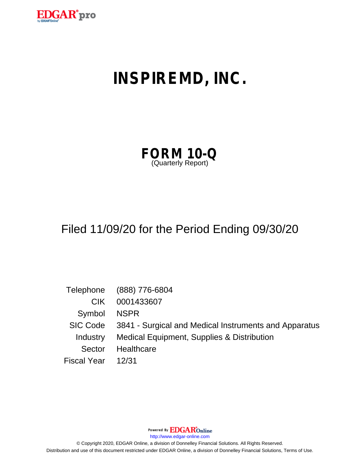

# **INSPIREMD, INC.**

| <b>FORM 10-Q</b>   |  |  |
|--------------------|--|--|
| (Quarterly Report) |  |  |

## Filed 11/09/20 for the Period Ending 09/30/20

|                   | Telephone (888) 776-6804                                       |
|-------------------|----------------------------------------------------------------|
| CIK.              | 0001433607                                                     |
| Symbol NSPR       |                                                                |
|                   | SIC Code 3841 - Surgical and Medical Instruments and Apparatus |
| Industry          | Medical Equipment, Supplies & Distribution                     |
| Sector            | Healthcare                                                     |
| Fiscal Year 12/31 |                                                                |

Powered By EDGAROnline

http://www.edgar-online.com

© Copyright 2020, EDGAR Online, a division of Donnelley Financial Solutions. All Rights Reserved. Distribution and use of this document restricted under EDGAR Online, a division of Donnelley Financial Solutions, Terms of Use.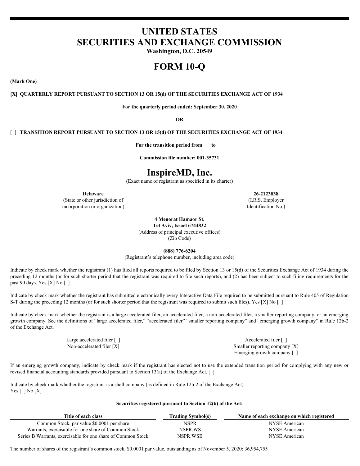## **UNITED STATES SECURITIES AND EXCHANGE COMMISSION**

**Washington, D.C. 20549**

## **FORM 10-Q**

**(Mark One)**

## **[X] QUARTERLY REPORT PURSUANT TO SECTION 13 OR 15(d) OF THE SECURITIES EXCHANGE ACT OF 1934**

**For the quarterly period ended: September 30, 2020**

**OR**

## [ ] **TRANSITION REPORT PURSUANT TO SECTION 13 OR 15(d) OF THE SECURITIES EXCHANGE ACT OF 1934**

**For the transition period from to** 

**Commission file number: 001-35731**

## **InspireMD, Inc.**

(Exact name of registrant as specified in its charter)

(State or other jurisdiction of (I.R.S. Employer incorporation or organization) incorporation or organization  $N_0$ .

**Delaware 26-2123838**

**4 Menorat Hamaor St.**

**Tel Aviv, Israel 6744832** (Address of principal executive offices)

(Zip Code)

**(888) 776-6204**

(Registrant's telephone number, including area code)

Indicate by check mark whether the registrant (1) has filed all reports required to be filed by Section 13 or 15(d) of the Securities Exchange Act of 1934 during the preceding 12 months (or for such shorter period that the registrant was required to file such reports), and (2) has been subject to such filing requirements for the past 90 days. Yes [X] No [ ]

Indicate by check mark whether the registrant has submitted electronically every Interactive Data File required to be submitted pursuant to Rule 405 of Regulation S-T during the preceding 12 months (or for such shorter period that the registrant was required to submit such files). Yes [X] No []

Indicate by check mark whether the registrant is a large accelerated filer, an accelerated filer, a non-accelerated filer, a smaller reporting company, or an emerging growth company. See the definitions of "large accelerated filer," "accelerated filer" "smaller reporting company" and "emerging growth company" in Rule 12b-2 of the Exchange Act.

Large accelerated filer  $\lceil \cdot \rceil$ 

Non-accelerated filer [X] Smaller reporting company [X] Emerging growth company [ ]

If an emerging growth company, indicate by check mark if the registrant has elected not to use the extended transition period for complying with any new or revised financial accounting standards provided pursuant to Section 13(a) of the Exchange Act. [ ]

Indicate by check mark whether the registrant is a shell company (as defined in Rule 12b-2 of the Exchange Act). Yes [ ] No [X]

## **Securities registered pursuant to Section 12(b) of the Act:**

| Title of each class                                          | Trading Symbol(s) | Name of each exchange on which registered |
|--------------------------------------------------------------|-------------------|-------------------------------------------|
| Common Stock, par value \$0,0001 per share                   | NSPR              | <b>TYSE</b><br>: American                 |
| Warrants, exercisable for one share of Common Stock          | VSPR WS           | NYSE American                             |
| Series B Warrants, exercisable for one share of Common Stock | <b>JSPR WSB</b>   | <b>NYSE</b><br>: American                 |

The number of shares of the registrant's common stock, \$0.0001 par value, outstanding as of November 5, 2020: 36,954,755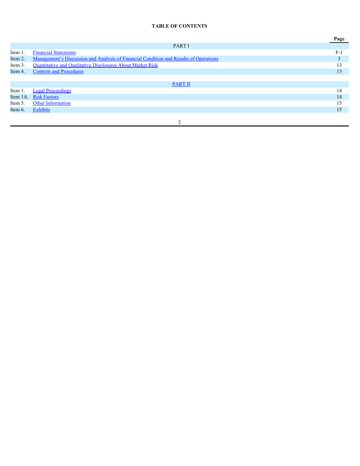## **TABLE OF CONTENTS**

|         |                                                                                       | Page  |
|---------|---------------------------------------------------------------------------------------|-------|
|         | PART I                                                                                |       |
| Item 1. | <b>Financial Statements</b>                                                           | $F-1$ |
| Item 2. | Management's Discussion and Analysis of Financial Condition and Results of Operations |       |
| Item 3. | Quantitative and Qualitative Disclosures About Market Risk                            | 13    |
| Item 4. | <b>Controls and Procedures</b>                                                        | 13    |
|         |                                                                                       |       |
|         | <b>PART II</b>                                                                        |       |
| Item 1. | <b>Legal Proceedings</b>                                                              |       |
|         | Item 1A. Risk Factors                                                                 | 14    |
| Item 5. | Other Information                                                                     | 15    |
| Item 6. | Exhibits                                                                              | 15    |
|         |                                                                                       |       |
|         |                                                                                       |       |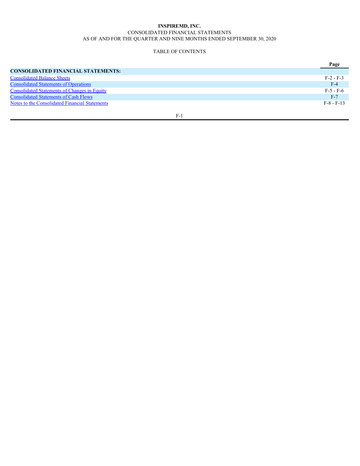## **INSPIREMD, INC.** CONSOLIDATED FINANCIAL STATEMENTS AS OF AND FOR THE QUARTER AND NINE MONTHS ENDED SEPTEMBER 30, 2020

## <span id="page-4-0"></span>TABLE OF CONTENTS

|                                                       | Page         |
|-------------------------------------------------------|--------------|
| CONSOLIDATED FINANCIAL STATEMENTS:                    |              |
| <b>Consolidated Balance Sheets</b>                    | $F-2 - F-3$  |
| <b>Consolidated Statements of Operations</b>          | $F-4$        |
| <b>Consolidated Statements of Changes in Equity</b>   | $F-5 - F-6$  |
| <b>Consolidated Statements of Cash Flows</b>          | $F-7$        |
| <b>Notes to the Consolidated Financial Statements</b> | $F-8 - F-13$ |
|                                                       |              |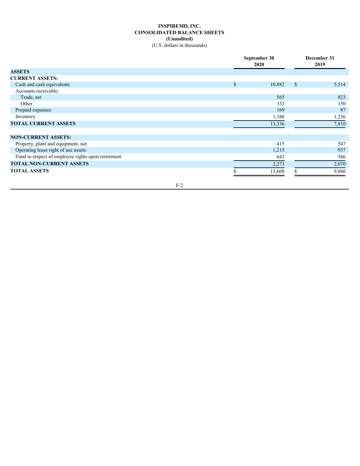## **INSPIREMD, INC. CONSOLIDATED BALANCE SHEETS (Unaudited)**

<span id="page-5-0"></span>(U.S. dollars in thousands)

|                                                    |       |              | September 30<br>2020 | December 31<br>2019 |       |  |  |
|----------------------------------------------------|-------|--------------|----------------------|---------------------|-------|--|--|
| <b>ASSETS</b>                                      |       |              |                      |                     |       |  |  |
| <b>CURRENT ASSETS:</b>                             |       |              |                      |                     |       |  |  |
| Cash and cash equivalents                          |       | <sup>S</sup> | 10,882               | <sup>\$</sup>       | 5,514 |  |  |
| Accounts receivable:                               |       |              |                      |                     |       |  |  |
| Trade, net                                         |       |              | 565                  |                     | 823   |  |  |
| Other                                              |       |              | 332                  |                     | 150   |  |  |
| Prepaid expenses                                   |       |              | 169                  |                     | 87    |  |  |
| Inventory                                          |       |              | 1,388                |                     | 1,236 |  |  |
| <b>TOTAL CURRENT ASSETS</b>                        |       |              | 13,336               |                     | 7,810 |  |  |
|                                                    |       |              |                      |                     |       |  |  |
| <b>NON-CURRENT ASSETS:</b>                         |       |              |                      |                     |       |  |  |
| Property, plant and equipment, net                 |       |              | 415                  |                     | 547   |  |  |
| Operating lease right of use assets                |       |              | 1,215                |                     | 937   |  |  |
| Fund in respect of employee rights upon retirement |       |              | 643                  |                     | 586   |  |  |
| <b>TOTAL NON-CURRENT ASSETS</b>                    |       |              | 2,273                |                     | 2,070 |  |  |
| <b>TOTAL ASSETS</b>                                |       |              | 15,609               |                     | 9,880 |  |  |
|                                                    |       |              |                      |                     |       |  |  |
|                                                    | $F-2$ |              |                      |                     |       |  |  |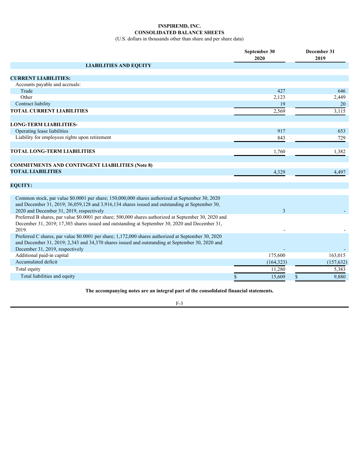## **INSPIREMD, INC. CONSOLIDATED BALANCE SHEETS**

(U.S. dollars in thousands other than share and per share data)

|                                                                                                       | September 30<br>2020 | December 31<br>2019 |
|-------------------------------------------------------------------------------------------------------|----------------------|---------------------|
| <b>LIABILITIES AND EQUITY</b>                                                                         |                      |                     |
| <b>CURRENT LIABILITIES:</b>                                                                           |                      |                     |
| Accounts payable and accruals:                                                                        |                      |                     |
| Trade                                                                                                 | 427                  | 646                 |
| Other                                                                                                 | 2,123                | 2,449               |
| Contract liability                                                                                    | 19                   | 20                  |
| <b>TOTAL CURRENT LIABILITIES</b>                                                                      | 2,569                | 3,115               |
| <b>LONG-TERM LIABILITIES-</b>                                                                         |                      |                     |
| Operating lease liabilities                                                                           | 917                  | 653                 |
| Liability for employees rights upon retirement                                                        | 843                  | 729                 |
| <b>TOTAL LONG-TERM LIABILITIES</b>                                                                    | 1,760                | 1,382               |
|                                                                                                       |                      |                     |
| <b>COMMITMENTS AND CONTINGENT LIABILITIES (Note 8)</b>                                                |                      |                     |
| <b>TOTAL LIABILITIES</b>                                                                              | 4,329                | 4,497               |
| <b>EQUITY:</b>                                                                                        |                      |                     |
|                                                                                                       |                      |                     |
| Common stock, par value \$0.0001 per share; 150,000,000 shares authorized at September 30, 2020       |                      |                     |
| and December 31, 2019; 36,059,128 and 3,916,134 shares issued and outstanding at September 30,        |                      |                     |
| 2020 and December 31, 2019, respectively                                                              | 3                    |                     |
| Preferred B shares, par value \$0.0001 per share; 500,000 shares authorized at September 30, 2020 and |                      |                     |
| December 31, 2019; 17,303 shares issued and outstanding at September 30, 2020 and December 31,        |                      |                     |
| 2019.                                                                                                 |                      |                     |
| Preferred C shares, par value \$0.0001 per share; 1,172,000 shares authorized at September 30, 2020   |                      |                     |
| and December 31, 2019; 2,343 and 34,370 shares issued and outstanding at September 30, 2020 and       |                      |                     |
| December 31, 2019, respectively                                                                       |                      |                     |
| Additional paid-in capital                                                                            | 175,600              | 163,015             |
| Accumulated deficit                                                                                   | (164, 323)           | (157, 632)          |
| Total equity                                                                                          | 11,280               | 5,383               |
| Total liabilities and equity                                                                          | 15,609               | 9,880               |
|                                                                                                       |                      |                     |

**The accompanying notes are an integral part of the consolidated financial statements.**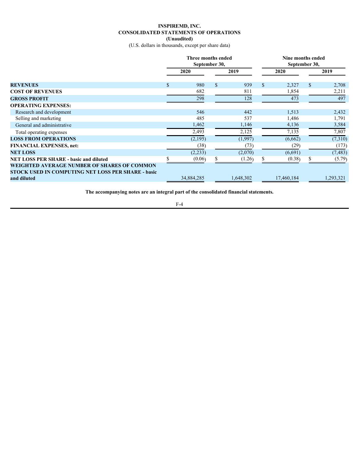## **INSPIREMD, INC. CONSOLIDATED STATEMENTS OF OPERATIONS (Unaudited)**

<span id="page-7-0"></span>(U.S. dollars in thousands, except per share data)

|                                                           | September 30, | Three months ended |           |  | Nine months ended<br>September 30, |   |           |  |  |
|-----------------------------------------------------------|---------------|--------------------|-----------|--|------------------------------------|---|-----------|--|--|
|                                                           | 2020          |                    | 2019      |  | 2020                               |   | 2019      |  |  |
| <b>REVENUES</b>                                           | 980           |                    | 939       |  | 2,327                              | ъ | 2,708     |  |  |
| <b>COST OF REVENUES</b>                                   | 682           |                    | 811       |  | 1,854                              |   | 2,211     |  |  |
| <b>GROSS PROFIT</b>                                       | 298           |                    | 128       |  | 473                                |   | 497       |  |  |
| <b>OPERATING EXPENSES:</b>                                |               |                    |           |  |                                    |   |           |  |  |
| Research and development                                  | 546           |                    | 442       |  | 1,513                              |   | 2,432     |  |  |
| Selling and marketing                                     | 485           |                    | 537       |  | 1,486                              |   | 1,791     |  |  |
| General and administrative                                | 1,462         |                    | 1,146     |  | 4,136                              |   | 3,584     |  |  |
| Total operating expenses                                  | 2,493         |                    | 2,125     |  | 7,135                              |   | 7,807     |  |  |
| <b>LOSS FROM OPERATIONS</b>                               | (2,195)       |                    | (1,997)   |  | (6,662)                            |   | (7,310)   |  |  |
| <b>FINANCIAL EXPENSES, net:</b>                           | (38)          |                    | (73)      |  | (29)                               |   | (173)     |  |  |
| <b>NET LOSS</b>                                           | (2, 233)      |                    | (2,070)   |  | (6,691)                            |   | (7, 483)  |  |  |
| <b>NET LOSS PER SHARE - basic and diluted</b>             | (0.06)        |                    | (1.26)    |  | (0.38)                             |   | (5.79)    |  |  |
| <b>WEIGHTED AVERAGE NUMBER OF SHARES OF COMMON</b>        |               |                    |           |  |                                    |   |           |  |  |
| <b>STOCK USED IN COMPUTING NET LOSS PER SHARE - basic</b> |               |                    |           |  |                                    |   |           |  |  |
| and diluted                                               | 34,884,285    |                    | 1,648,302 |  | 17,460,184                         |   | 1,293,321 |  |  |

**The accompanying notes are an integral part of the consolidated financial statements.**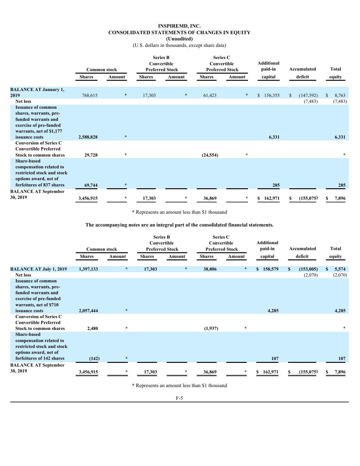## **INSPIREMD, INC. CONSOLIDATED STATEMENTS OF CHANGES IN EQUITY (Unaudited)**

<span id="page-8-0"></span>(U.S. dollars in thousands, except share data)

|                                                                                                                                                                              | <b>Common stock</b> |               | <b>Series B</b> | Convertible<br><b>Preferred Stock</b> | <b>Series C</b><br>Convertible<br><b>Preferred Stock</b> |         | <b>Additional</b><br>paid-in | Accumulated                | <b>Total</b>           |
|------------------------------------------------------------------------------------------------------------------------------------------------------------------------------|---------------------|---------------|-----------------|---------------------------------------|----------------------------------------------------------|---------|------------------------------|----------------------------|------------------------|
|                                                                                                                                                                              | Shares              | Amount        | <b>Shares</b>   | Amount                                | <b>Shares</b>                                            | Amount  | capital                      | deficit                    | equity                 |
| <b>BALANCE AT January 1,</b><br>2019                                                                                                                                         | 768,615             | $\ast$        | 17,303          | $\ast$                                | 61,423                                                   | ∗       | 156,355<br>$\mathbb{S}^-$    | (147, 592)<br><sup>S</sup> | 8,763<br><sup>\$</sup> |
| <b>Net loss</b><br><b>Issuance of common</b><br>shares, warrants, pre-<br>funded warrants and<br>exercise of pre-funded<br>warrants, net of \$1,177<br><i>issuance costs</i> | 2,588,828           | $\mathcal{A}$ |                 |                                       |                                                          |         | 6,331                        | (7, 483)                   | (7, 483)<br>6,331      |
| <b>Conversion of Series C</b><br><b>Convertible Preferred</b><br><b>Stock to common shares</b>                                                                               | 29,728              | $\ast$        |                 |                                       | (24, 554)                                                | $\star$ |                              |                            |                        |
| <b>Share-based</b><br>compensation related to<br>restricted stock and stock<br>options award, net of<br>forfeitures of 837 shares                                            | 69,744              |               |                 |                                       |                                                          |         | 285                          |                            | 285                    |
| <b>BALANCE AT September</b><br>30, 2019                                                                                                                                      | 3,456,915           |               | 17,303          |                                       | 36,869                                                   |         | 162,971<br>\$                | (155,075)<br>S             | 7,896<br>S             |

**\*** Represents an amount less than \$1 thousand

## **The accompanying notes are an integral part of the consolidated financial statements.**

|                                                                                                                                                         | <b>Common stock</b> |         | <b>Series B</b><br>Convertible<br><b>Preferred Stock</b> |        | <b>Series C</b><br>Convertible<br><b>Preferred Stock</b> |         | <b>Additional</b><br>paid-in | Accumulated          | <b>Total</b>                     |
|---------------------------------------------------------------------------------------------------------------------------------------------------------|---------------------|---------|----------------------------------------------------------|--------|----------------------------------------------------------|---------|------------------------------|----------------------|----------------------------------|
|                                                                                                                                                         | <b>Shares</b>       | Amount  | <b>Shares</b>                                            | Amount | <b>Shares</b>                                            | Amount  | capital                      | deficit              | equity                           |
| <b>BALANCE AT July 1, 2019</b><br><b>Net loss</b>                                                                                                       | 1,397,133           | $\star$ | 17,303                                                   | $\ast$ | 38,806                                                   | -*      | 158,579<br>\$                | (153,005)<br>(2,070) | 5,574<br>$\mathbf{s}$<br>(2,070) |
| <b>Issuance of common</b><br>shares, warrants, pre-<br>funded warrants and<br>exercise of pre-funded<br>warrants, net of \$710<br><i>issuance costs</i> | 2,057,444           | $\star$ |                                                          |        |                                                          |         | 4,285                        |                      | 4,285                            |
| <b>Conversion of Series C</b><br><b>Convertible Preferred</b><br><b>Stock to common shares</b>                                                          | 2,480               | $\star$ |                                                          |        | (1,937)                                                  | $\star$ |                              |                      |                                  |
| <b>Share-based</b><br>compensation related to<br>restricted stock and stock<br>options award, net of<br>forfeitures of 142 shares                       | (142)               |         |                                                          |        |                                                          |         | 107                          |                      | 107                              |
| <b>BALANCE AT September</b><br>30, 2019                                                                                                                 | 3,456,915           |         | 17,303                                                   |        | 36,869                                                   |         | \$162,971                    | (155,075)            | 7,896<br>S.                      |

**\*** Represents an amount less than \$1 thousand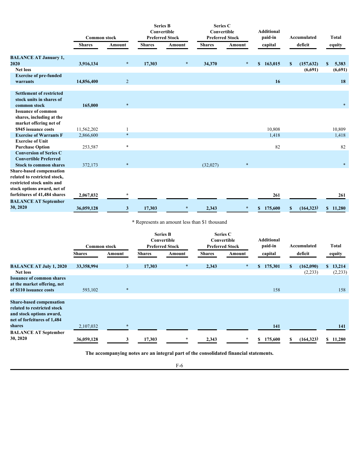|                                                                                                                       | <b>Common stock</b>     |              | <b>Series B</b><br>Convertible<br><b>Preferred Stock</b> |         | <b>Series C</b><br>Convertible<br><b>Preferred Stock</b> |         | <b>Additional</b><br>paid-in | Accumulated                 | <b>Total</b>          |
|-----------------------------------------------------------------------------------------------------------------------|-------------------------|--------------|----------------------------------------------------------|---------|----------------------------------------------------------|---------|------------------------------|-----------------------------|-----------------------|
|                                                                                                                       | <b>Shares</b>           | Amount       | <b>Shares</b>                                            | Amount  | <b>Shares</b>                                            | Amount  | capital                      | deficit                     | equity                |
| <b>BALANCE AT January 1,</b><br>2020                                                                                  | 3,916,134               | $\star$      | 17,303                                                   | $\star$ | 34,370                                                   | $\star$ | \$163,015                    | (157, 632)<br>$\mathbf{s}$  | $\mathbf{s}$<br>5,383 |
| <b>Net loss</b><br><b>Exercise of pre-funded</b><br>warrants                                                          | 14,856,400              | 2            |                                                          |         |                                                          |         | 16                           | (6,691)                     | (6,691)<br>18         |
| <b>Settlement of restricted</b><br>stock units in shares of<br>common stock                                           | 165,000                 | $\ast$       |                                                          |         |                                                          |         |                              |                             | $\ast$                |
| <b>Issuance of common</b><br>shares, including at the<br>market offering net of                                       |                         |              |                                                          |         |                                                          |         |                              |                             |                       |
| \$945 issuance costs<br><b>Exercise of Warrants F</b>                                                                 | 11,562,202<br>2,866,600 | $\star$      |                                                          |         |                                                          |         | 10,808<br>1,418              |                             | 10,809<br>1,418       |
| <b>Exercise of Unit</b><br><b>Purchase Option</b>                                                                     | 253,587                 | $\ast$       |                                                          |         |                                                          |         | 82                           |                             | 82                    |
| <b>Conversion of Series C</b><br><b>Convertible Preferred</b><br><b>Stock to common shares</b>                        | 372,173                 | $\ast$       |                                                          |         | (32,027)                                                 | $\ast$  |                              |                             | $\ast$                |
| Share-based compensation<br>related to restricted stock,<br>restricted stock units and<br>stock options award, net of |                         |              |                                                          |         |                                                          |         |                              |                             |                       |
| forfeitures of 41,484 shares<br><b>BALANCE AT September</b>                                                           | 2,067,032               | $\star$      |                                                          |         |                                                          |         | 261                          |                             | 261                   |
| 30, 2020                                                                                                              | 36,059,128              | $\mathbf{3}$ | 17,303                                                   | $\star$ | 2,343                                                    | $\star$ | \$175,600                    | (164, 323)<br><sup>\$</sup> | \$11,280              |

**\*** Represents an amount less than \$1 thousand

|                                                                                                                           | <b>Common stock</b> |        | <b>Series B</b><br>Convertible<br><b>Preferred Stock</b> |        | <b>Series C</b><br>Convertible<br><b>Preferred Stock</b> |        | <b>Additional</b><br>paid-in | Accumulated | <b>Total</b> |
|---------------------------------------------------------------------------------------------------------------------------|---------------------|--------|----------------------------------------------------------|--------|----------------------------------------------------------|--------|------------------------------|-------------|--------------|
|                                                                                                                           | <b>Shares</b>       | Amount | <b>Shares</b>                                            | Amount | <b>Shares</b>                                            | Amount | capital                      | deficit     | equity       |
| <b>BALANCE AT July 1, 2020</b>                                                                                            | 33,358,994          |        | 17,303                                                   |        | 2,343                                                    |        | \$175,301                    | (162,090)   | \$13,214     |
| <b>Net loss</b>                                                                                                           |                     |        |                                                          |        |                                                          |        |                              | (2,233)     | (2,233)      |
| <b>Issuance of common shares</b><br>at the market offering, net                                                           |                     |        |                                                          |        |                                                          |        |                              |             |              |
| of \$110 issuance costs                                                                                                   | 593,102             |        |                                                          |        |                                                          |        | 158                          |             | 158          |
| <b>Share-based compensation</b><br>related to restricted stock<br>and stock options award,<br>net of forfeitures of 1,484 |                     |        |                                                          |        |                                                          |        |                              |             |              |
| shares                                                                                                                    | 2,107,032           |        |                                                          |        |                                                          |        | 141                          |             | 141          |
| <b>BALANCE AT September</b><br>30, 2020                                                                                   | 36,059,128          |        | 17,303                                                   |        | 2,343                                                    |        | \$175,600                    | (164, 323)  | \$11,280     |

**The accompanying notes are an integral part of the consolidated financial statements.**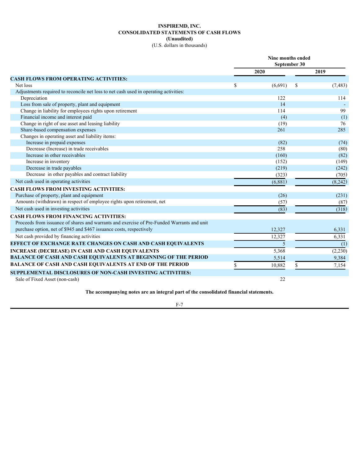## **INSPIREMD, INC. CONSOLIDATED STATEMENTS OF CASH FLOWS (Unaudited)**

<span id="page-10-0"></span>(U.S. dollars in thousands)

|                                                                                            |     | Nine months ended<br>September 30 |              |                          |
|--------------------------------------------------------------------------------------------|-----|-----------------------------------|--------------|--------------------------|
|                                                                                            |     | 2020                              |              | 2019                     |
| <b>CASH FLOWS FROM OPERATING ACTIVITIES:</b>                                               |     |                                   |              |                          |
| Net loss                                                                                   | \$. | (6,691)                           | <sup>S</sup> | (7, 483)                 |
| Adjustments required to reconcile net loss to net cash used in operating activities:       |     |                                   |              |                          |
| Depreciation                                                                               |     | 122                               |              | 114                      |
| Loss from sale of property, plant and equipment                                            |     | 14                                |              | $\overline{\phantom{a}}$ |
| Change in liability for employees rights upon retirement                                   |     | 114                               |              | 99                       |
| Financial income and interest paid                                                         |     | (4)                               |              | (1)                      |
| Change in right of use asset and leasing liability                                         |     | (19)                              |              | 76                       |
| Share-based compensation expenses                                                          |     | 261                               |              | 285                      |
| Changes in operating asset and liability items:                                            |     |                                   |              |                          |
| Increase in prepaid expenses                                                               |     | (82)                              |              | (74)                     |
| Decrease (Increase) in trade receivables                                                   |     | 258                               |              | (80)                     |
| Increase in other receivables                                                              |     | (160)                             |              | (82)                     |
| Increase in inventory                                                                      |     | (152)                             |              | (149)                    |
| Decrease in trade payables                                                                 |     | (219)                             |              | (242)                    |
| Decrease in other payables and contract liability                                          |     | (323)                             |              | (705)                    |
| Net cash used in operating activities                                                      |     | (6, 881)                          |              | (8,242)                  |
| <b>CASH FLOWS FROM INVESTING ACTIVITIES:</b>                                               |     |                                   |              |                          |
| Purchase of property, plant and equipment                                                  |     | (26)                              |              | (231)                    |
| Amounts (withdrawn) in respect of employee rights upon retirement, net                     |     | (57)                              |              | (87)                     |
| Net cash used in investing activities                                                      |     | $\overline{(83)}$                 |              | (318)                    |
| <b>CASH FLOWS FROM FINANCING ACTIVITIES:</b>                                               |     |                                   |              |                          |
| Proceeds from issuance of shares and warrants and exercise of Pre-Funded Warrants and unit |     |                                   |              |                          |
| purchase option, net of \$945 and \$467 issuance costs, respectively                       |     | 12,327                            |              | 6,331                    |
| Net cash provided by financing activities                                                  |     | 12,327                            |              | 6,331                    |
| <b>EFFECT OF EXCHANGE RATE CHANGES ON CASH AND CASH EQUIVALENTS</b>                        |     |                                   |              | (1)                      |
| <b>INCREASE (DECREASE) IN CASH AND CASH EQUIVALENTS</b>                                    |     | 5,368                             |              | (2, 230)                 |
| <b>BALANCE OF CASH AND CASH EQUIVALENTS AT BEGINNING OF THE PERIOD</b>                     |     | 5,514                             |              | 9,384                    |
| <b>BALANCE OF CASH AND CASH EQUIVALENTS AT END OF THE PERIOD</b>                           |     |                                   |              |                          |
|                                                                                            |     | 10,882                            |              | 7,154                    |
| SUPPLEMENTAL DISCLOSURES OF NON-CASH INVESTING ACTIVITIES:                                 |     |                                   |              |                          |
| Sale of Fixed Asset (non-cash)                                                             |     | 22                                |              |                          |
|                                                                                            |     |                                   |              |                          |

**The accompanying notes are an integral part of the consolidated financial statements.**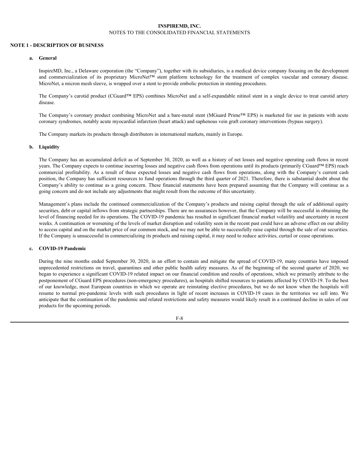## <span id="page-11-0"></span>**INSPIREMD, INC.** NOTES TO THE CONSOLIDATED FINANCIAL STATEMENTS

## **NOTE 1 - DESCRIPTION OF BUSINESS**

## **a. General**

InspireMD, Inc., a Delaware corporation (the "Company"), together with its subsidiaries, is a medical device company focusing on the development **INSPIREMD, INC.**<br> **ESCRIPTION OF BUSINESS**<br> **General**<br>
InspireMD, Inc., a Delaware corporation (the "Company"), together with its subsidiaries, is a medical device company focusing on the development<br>
and commercializati MicroNet, a micron mesh sleeve, is wrapped over a stent to provide embolic protection in stenting procedures.

The Company's carotid product (CGuard™ EPS) combines MicroNet and a self-expandable nitinol stent in a single device to treat carotid artery disease.

The Company's coronary product combining MicroNet and a bare-metal stent (MGuard Prime™ EPS) is marketed for use in patients with acute coronary syndromes, notably acute myocardial infarction (heart attack) and saphenous vein graft coronary interventions (bypass surgery).

The Company markets its products through distributors in international markets, mainly in Europe.

## **b. Liquidity**

The Company has an accumulated deficit as of September 30, 2020, as well as a history of net losses and negative operating cash flows in recent years. The Company expects to continue incurring losses and negative cash flows from operations until its products (primarily CGuard™ EPS) reach SCRIFTION OF BISINESS<br>
SCRIFTION OF BISINESS<br>
Corectal<br>
chapter comparison (the "Compary"), together with its subsidiaries, is a motion device company focusing on the obvelopment<br>
and connected/ization of its proprietary M position, the Company has sufficient resources to fund operations through the third quarter of 2021. Therefore, there is substantial doubt about the Company's ability to continue as a going concern. These financial statements have been prepared assuming that the Company will continue as a going concern and do not include any adjustments that might result from the outcome of this uncertainty.

Management's plans include the continued commercialization of the Company's products and raising capital through the sale of additional equity securities, debt or capital inflows from strategic partnerships. There are no assurances however, that the Company will be successful in obtaining the level of financing needed for its operations. The COVID-19 pandemic has resulted in significant financial market volatility and uncertainty in recent weeks. A continuation or worsening of the levels of market disruption and volatility seen in the recent past could have an adverse effect on our ability to access capital and on the market price of our common stock, and we may not be able to successfully raise capital through the sale of our securities. If the Company is unsuccessful in commercializing its products and raising capital, it may need to reduce activities, curtail or cease operations.

## **c. COVID-19 Pandemic**

Inteption D. in a During concernation dis- Company), beyond with its indical device company focusing on the development<br>
Microsofthicking, in a month sected for the sponsor of the property of the nine month of the space of und commercial prince on travel, the properator) Mirecky Post platfion recedubely for the treatment of complete its product in the complete restrictions of the complete restrictions of the complete restrictions of the comp began to experience a significant COVID-19 related impact on our financial condition and results of operations, which we primarily attribute to the postponement of CGuard EPS procedures (non-emergency procedures), as hospitals shifted resources to patients affected by COVID-19. To the best of our knowledge, most European countries in which we operate are reinstating elective procedures, but we do not know when the hospitals will discuss.<br>The Company's cosonary product combining MicroNet and a bare-meal start (MGnad Prime<sup>35</sup> EPs) is marked for use in parisms with accuracy products is products increased a fluority increased and supplements in gradi anticipate that the continuation of the pandemic and related restrictions and safety measures would likely result in a continued decline in sales of our products for the upcoming periods.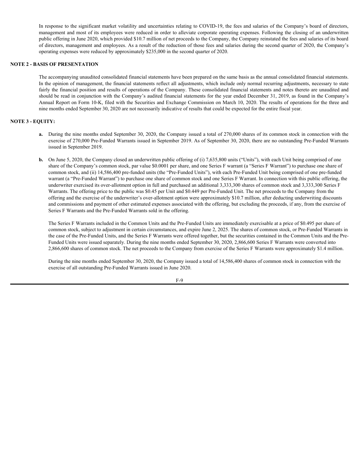In response to the significant market volatility and uncertainties relating to COVID-19, the fees and salaries of the Company's board of directors, management and most of its employees were reduced in order to alleviate corporate operating expenses. Following the closing of an underwritten public offering in June 2020, which provided \$10.7 million of net proceeds to the Company, the Company reinstated the fees and salaries of its board of directors, management and employees. As a result of the reduction of those fees and salaries during the second quarter of 2020, the Company's operating expenses were reduced by approximately \$235,000 in the second quarter of 2020.

## **NOTE 2 - BASIS OF PRESENTATION**

The accompanying unaudited consolidated financial statements have been prepared on the same basis as the annual consolidated financial statements. In the opinion of management, the financial statements reflect all adjustments, which include only normal recurring adjustments, necessary to state fairly the financial position and results of operations of the Company. These consolidated financial statements and notes thereto are unaudited and should be read in conjunction with the Company's audited financial statements for the year ended December 31, 2019, as found in the Company's Annual Report on Form 10-K, filed with the Securities and Exchange Commission on March 10, 2020. The results of operations for the three and nine months ended September 30, 2020 are not necessarily indicative of results that could be expected for the entire fiscal year.

## **NOTE 3 - EQUITY:**

- **a.** During the nine months ended September 30, 2020, the Company issued a total of 270,000 shares of its common stock in connection with the exercise of 270,000 Pre-Funded Warrants issued in September 2019. As of September 30, 2020, there are no outstanding Pre-Funded Warrants issued in September 2019.
- **b.** On June 5, 2020, the Company closed an underwritten public offering of (i) 7,635,800 units ("Units"), with each Unit being comprised of one share of the Company's common stock, par value \$0.0001 per share, and one Series F warrant (a "Series F Warrant") to purchase one share of common stock, and (ii) 14,586,400 pre-funded units (the "Pre-Funded Units"), with each Pre-Funded Unit being comprised of one pre-funded warrant (a "Pre-Funded Warrant") to purchase one share of common stock and one Series F Warrant. In connection with this public offering, the underwriter exercised its over-allotment option in full and purchased an additional 3,333,300 shares of common stock and 3,333,300 Series F Warrants. The offering price to the public was \$0.45 per Unit and \$0.449 per Pre-Funded Unit. The net proceeds to the Company from the offering and the exercise of the underwriter's over-allotment option were approximately \$10.7 million, after deducting underwriting discounts and commissions and payment of other estimated expenses associated with the offering, but excluding the proceeds, if any, from the exercise of Series F Warrants and the Pre-Funded Warrants sold in the offering.

The Series F Warrants included in the Common Units and the Pre-Funded Units are immediately exercisable at a price of \$0.495 per share of common stock, subject to adjustment in certain circumstances, and expire June 2, 2025. The shares of common stock, or Pre-Funded Warrants in the case of the Pre-Funded Units, and the Series F Warrants were offered together, but the securities contained in the Common Units and the Pre-Funded Units were issued separately. During the nine months ended September 30, 2020, 2,866,600 Series F Warrants were converted into 2,866,600 shares of common stock. The net proceeds to the Company from exercise of the Series F Warrants were approximately \$1.4 million.

During the nine months ended September 30, 2020, the Company issued a total of 14,586,400 shares of common stock in connection with the exercise of all outstanding Pre-Funded Warrants issued in June 2020.

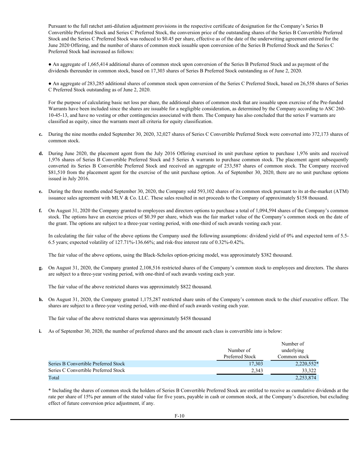Pursuant to the full ratchet anti-dilution adjustment provisions in the respective certificate of designation for the Company's Series B Convertible Preferred Stock and Series C Preferred Stock, the conversion price of the outstanding shares of the Series B Convertible Preferred Stock and the Series C Preferred Stock was reduced to \$0.45 per share, effective as of the date of the underwriting agreement entered for the June 2020 Offering, and the number of shares of common stock issuable upon conversion of the Series B Preferred Stock and the Series C Preferred Stock had increased as follows:

● An aggregate of 1,665,414 additional shares of common stock upon conversion of the Series B Preferred Stock and as payment of the dividends thereunder in common stock, based on 17,303 shares of Series B Preferred Stock outstanding as of June 2, 2020.

● An aggregate of 283,285 additional shares of common stock upon conversion of the Series C Preferred Stock, based on 26,558 shares of Series C Preferred Stock outstanding as of June 2, 2020.

For the purpose of calculating basic net loss per share, the additional shares of common stock that are issuable upon exercise of the Pre-funded Warrants have been included since the shares are issuable for a negligible consideration, as determined by the Company according to ASC 260- 10-45-13, and have no vesting or other contingencies associated with them. The Company has also concluded that the series F warrants are classified as equity, since the warrants meet all criteria for equity classification.

- **c.** During the nine months ended September 30, 2020, 32,027 shares of Series C Convertible Preferred Stock were converted into 372,173 shares of common stock.
- **d.** During June 2020, the placement agent from the July 2016 Offering exercised its unit purchase option to purchase 1,976 units and received 1,976 shares of Series B Convertible Preferred Stock and 5 Series A warrants to purchase common stock. The placement agent subsequently Parsoant to the full catchet and dilution adjustment provident in the respective certificate of designation for the Company's Series B.<br>Convertible Preferred Stock and Series C Preferred Stock is convertision, the converti \$81,510 from the placement agent for the exercise of the unit purchase option. As of September 30, 2020, there are no unit purchase options issued in July 2016.
- **e.** During the three months ended September 30, 2020, the Company sold 593,102 shares of its common stock pursuant to its at-the-market (ATM) issuance sales agreement with MLV & Co. LLC. These sales resulted in net proceeds to the Company of approximately \$158 thousand.
- **f.** On August 31, 2020 the Company granted to employees and directors options to purchase a total of 1,094,594 shares of the Company's common stock. The options have an exercise prices of \$0.39 per share, which was the fair market value of the Company's common stock on the date of the grant. The options are subject to a three-year vesting period, with one-third of such awards vesting each year.

In calculating the fair value of the above options the Company used the following assumptions: dividend yield of 0% and expected term of 5.5- 6.5 years; expected volatility of 127.71%-136.66%; and risk-free interest rate of 0.32%-0.42%.

The fair value of the above options, using the Black-Scholes option-pricing model, was approximately \$382 thousand.

**g.** On August 31, 2020, the Company granted 2,108,516 restricted shares of the Company's common stock to employees and directors. The shares are subject to a three-year vesting period, with one-third of such awards vesting each year.

The fair value of the above restricted shares was approximately \$822 thousand.

**h.** On August 31, 2020, the Company granted 1,175,287 restricted share units of the Company's common stock to the chief executive officer. The shares are subject to a three-year vesting period, with one-third of such awards vesting each year.

The fair value of the above restricted shares was approximately \$458 thousand

**i.** As of September 30, 2020, the number of preferred shares and the amount each class is convertible into is below:

|                                      |                 | Number of    |
|--------------------------------------|-----------------|--------------|
|                                      | Number of       | underlying   |
|                                      | Preferred Stock | Common stock |
| Series B Convertible Preferred Stock | 17,303          | 2,220,552*   |
| Series C Convertible Preferred Stock | 2,343           | 33,322       |
| Total                                |                 | 2,253,874    |

\* Including the shares of common stock the holders of Series B Convertible Preferred Stock are entitled to receive as cumulative dividends at the rate per share of 15% per annum of the stated value for five years, payable in cash or common stock, at the Company's discretion, but excluding effect of future conversion price adjustment, if any.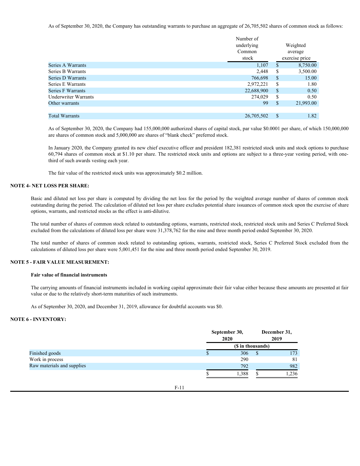As of September 30, 2020, the Company has outstanding warrants to purchase an aggregate of 26,705,502 shares of common stock as follows:

|                                                                                                                                                                                                                                                                                                                                                                                                                                                                                                                                                                                        | Number of     |              |                |
|----------------------------------------------------------------------------------------------------------------------------------------------------------------------------------------------------------------------------------------------------------------------------------------------------------------------------------------------------------------------------------------------------------------------------------------------------------------------------------------------------------------------------------------------------------------------------------------|---------------|--------------|----------------|
|                                                                                                                                                                                                                                                                                                                                                                                                                                                                                                                                                                                        | underlying    |              | Weighted       |
|                                                                                                                                                                                                                                                                                                                                                                                                                                                                                                                                                                                        | Common        |              | average        |
|                                                                                                                                                                                                                                                                                                                                                                                                                                                                                                                                                                                        | stock         |              | exercise price |
| Series A Warrants                                                                                                                                                                                                                                                                                                                                                                                                                                                                                                                                                                      | 1,107         | <sup>S</sup> | 8,750.00       |
| Series B Warrants                                                                                                                                                                                                                                                                                                                                                                                                                                                                                                                                                                      | 2,448         | <sup>S</sup> | 3,500.00       |
| Series D Warrants                                                                                                                                                                                                                                                                                                                                                                                                                                                                                                                                                                      | 766,698       | -S           | 15.00          |
| Series E Warrants                                                                                                                                                                                                                                                                                                                                                                                                                                                                                                                                                                      | 2,972,221     | -S           | 1.80           |
| <b>Series F Warrants</b>                                                                                                                                                                                                                                                                                                                                                                                                                                                                                                                                                               | 22,688,900    | <sup>S</sup> | 0.50           |
|                                                                                                                                                                                                                                                                                                                                                                                                                                                                                                                                                                                        |               |              |                |
| <b>Underwriter Warrants</b>                                                                                                                                                                                                                                                                                                                                                                                                                                                                                                                                                            | 274,029       | -S           | 0.50           |
| Other warrants                                                                                                                                                                                                                                                                                                                                                                                                                                                                                                                                                                         | 99            | $\mathbb{S}$ | 21,993.00      |
| <b>Total Warrants</b>                                                                                                                                                                                                                                                                                                                                                                                                                                                                                                                                                                  | 26,705,502 \$ |              | 1.82           |
| As of September 30, 2020, the Company had 155,000,000 authorized shares of capital stock, par value \$0.0001 per share, of which 150,000,000<br>are shares of common stock and 5,000,000 are shares of "blank check" preferred stock.<br>In January 2020, the Company granted its new chief executive officer and president 182,381 restricted stock units and stock options to purchase<br>60,794 shares of common stock at \$1.10 per share. The restricted stock units and options are subject to a three-year vesting period, with one-<br>third of such awards vesting each year. |               |              |                |
| The fair value of the restricted stock units was approximately \$0.2 million.                                                                                                                                                                                                                                                                                                                                                                                                                                                                                                          |               |              |                |
| <b>NET LOSS PER SHARE:</b>                                                                                                                                                                                                                                                                                                                                                                                                                                                                                                                                                             |               |              |                |
| Basic and diluted net loss per share is computed by dividing the net loss for the period by the weighted average number of shares of common stock<br>outstanding during the period. The calculation of diluted net loss per share excludes potential share issuances of common stock upon the exercise of share<br>options, warrants, and restricted stocks as the effect is anti-dilutive.                                                                                                                                                                                            |               |              |                |
| The total number of shares of common stock related to outstanding options, warrants, restricted stock, restricted stock units and Series C Preferred Stock<br>excluded from the calculations of diluted loss per share were 31,378,762 for the nine and three month period ended September 30, 2020.                                                                                                                                                                                                                                                                                   |               |              |                |
| The total number of shares of common stock related to outstanding options, warrants, restricted stock, Series C Preferred Stock excluded from the<br>calculations of diluted loss per share were 5,001,451 for the nine and three month period ended September 30, 2019.                                                                                                                                                                                                                                                                                                               |               |              |                |
| <b>FAIR VALUE MEASUREMENT:</b>                                                                                                                                                                                                                                                                                                                                                                                                                                                                                                                                                         |               |              |                |
| <b>Fair value of financial instruments</b>                                                                                                                                                                                                                                                                                                                                                                                                                                                                                                                                             |               |              |                |
| The carrying amounts of financial instruments included in working capital approximate their fair value either because these amounts are presented at fair                                                                                                                                                                                                                                                                                                                                                                                                                              |               |              |                |

## **NOTE 4- NET LOSS PER SHARE:**

## **NOTE 5 - FAIR VALUE MEASUREMENT:**

### **Fair value of financial instruments**

The carrying amounts of financial instruments included in working capital approximate their fair value either because these amounts are presented at fair value or due to the relatively short-term maturities of such instruments.

As of September 30, 2020, and December 31, 2019, allowance for doubtful accounts was \$0.

## **NOTE 6 - INVENTORY:**

|                            | September 30,<br>2020 | December 31,<br>2019 |
|----------------------------|-----------------------|----------------------|
|                            | (\$ in thousands)     |                      |
| Finished goods             | 306                   | 173                  |
| Work in process            | 290                   | 81                   |
| Raw materials and supplies | 792                   | 982                  |
|                            | 1,388                 | 1,236                |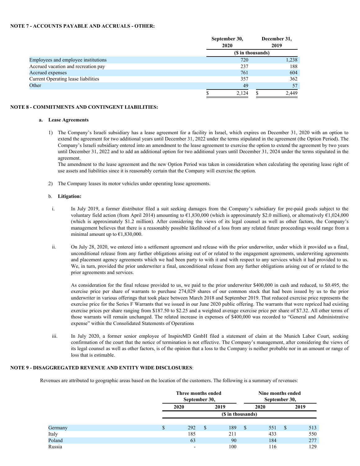## **NOTE 7 - ACCOUNTS PAYABLE AND ACCRUALS - OTHER:**

| - ACCOUNTS PAYABLE AND ACCRUALS - OTHER:                                                                                                                                                                                                                                                                                                                                                                                                                                                                                                                                                                                                                                                                                                                                                                                                                                                                                                                   |                       |                                                                                                                                          |
|------------------------------------------------------------------------------------------------------------------------------------------------------------------------------------------------------------------------------------------------------------------------------------------------------------------------------------------------------------------------------------------------------------------------------------------------------------------------------------------------------------------------------------------------------------------------------------------------------------------------------------------------------------------------------------------------------------------------------------------------------------------------------------------------------------------------------------------------------------------------------------------------------------------------------------------------------------|-----------------------|------------------------------------------------------------------------------------------------------------------------------------------|
|                                                                                                                                                                                                                                                                                                                                                                                                                                                                                                                                                                                                                                                                                                                                                                                                                                                                                                                                                            | September 30,<br>2020 | December 31,<br>2019                                                                                                                     |
|                                                                                                                                                                                                                                                                                                                                                                                                                                                                                                                                                                                                                                                                                                                                                                                                                                                                                                                                                            | (\$ in thousands)     |                                                                                                                                          |
| Employees and employee institutions                                                                                                                                                                                                                                                                                                                                                                                                                                                                                                                                                                                                                                                                                                                                                                                                                                                                                                                        | 720                   | 1,238                                                                                                                                    |
| Accrued vacation and recreation pay<br>Accrued expenses                                                                                                                                                                                                                                                                                                                                                                                                                                                                                                                                                                                                                                                                                                                                                                                                                                                                                                    | 237<br>761            | 188<br>604                                                                                                                               |
| Current Operating lease liabilities                                                                                                                                                                                                                                                                                                                                                                                                                                                                                                                                                                                                                                                                                                                                                                                                                                                                                                                        | 357                   | 362                                                                                                                                      |
| Other                                                                                                                                                                                                                                                                                                                                                                                                                                                                                                                                                                                                                                                                                                                                                                                                                                                                                                                                                      | 49                    | 57                                                                                                                                       |
|                                                                                                                                                                                                                                                                                                                                                                                                                                                                                                                                                                                                                                                                                                                                                                                                                                                                                                                                                            | 2,124                 | 2,449<br>-S                                                                                                                              |
| a. Lease Agreements<br>1) The Company's Israeli subsidiary has a lease agreement for a facility in Israel, which expires on December 31, 2020 with an option to<br>extend the agreement for two additional years until December 31, 2022 under the terms stipulated in the agreement (the Option Period). The<br>Company's Israeli subsidiary entered into an amendment to the lease agreement to exercise the option to extend the agreement by two years<br>until December 31, 2022 and to add an additional option for two additional years until December 31, 2024 under the terms stipulated in the<br>agreement.<br>The amendment to the lease agreement and the new Option Period was taken in consideration when calculating the operating lease right of<br>use assets and liabilities since it is reasonably certain that the Company will exercise the option.<br>The Company leases its motor vehicles under operating lease agreements.<br>2) |                       |                                                                                                                                          |
| b. Litigation:<br>$\mathbf{i}$ .<br>In July 2019, a former distributor filed a suit seeking damages from the Company's subsidiary for pre-paid goods subject to the<br>voluntary field action (from April 2014) amounting to €1,830,000 (which is approximately \$2.0 million), or alternatively €1,024,000<br>(which is approximately \$1.2 million). After considering the views of its legal counsel as well as other factors, the Company's<br>management believes that there is a reasonably possible likelihood of a loss from any related future proceedings would range from a<br>minimal amount up to $\epsilon$ 1,830,000.                                                                                                                                                                                                                                                                                                                       |                       |                                                                                                                                          |
| ii.<br>On July 28, 2020, we entered into a settlement agreement and release with the prior underwriter, under which it provided us a final,<br>unconditional release from any further obligations arising out of or related to the engagement agreements, underwriting agreements<br>and placement agency agreements which we had been party to with it and with respect to any services which it had provided to us.                                                                                                                                                                                                                                                                                                                                                                                                                                                                                                                                      |                       | We, in turn, provided the prior underwriter a final, unconditional release from any further obligations arising out of or related to the |

## **NOTE 8 - COMMITMENTS AND CONTINGENT LIABILITIES:**

## **a. Lease Agreements**

## b. **Litigation:**

- voluntary field action (from April 2014) amounting to €1,830,000 (which is approximately \$2.0 million), or alternatively €1,024,000 management believes that there is a reasonably possible likelihood of a loss from any related future proceedings would range from a minimal amount up to  $\epsilon$ 1,830,000.
- ii. On July 28, 2020, we entered into a settlement agreement and release with the prior underwriter, under which it provided us a final, unconditional release from any further obligations arising out of or related to the engagement agreements, underwriting agreements and placement agency agreements which we had been party to with it and with respect to any services which it had provided to us. We, in turn, provided the prior underwriter a final, unconditional release from any further obligations arising out of or related to the prior agreements and services.

As consideration for the final release provided to us, we paid to the prior underwriter \$400,000 in cash and reduced, to \$0.495, the S AND CONTINGENT LIABILITIES:<br>
senects<br>
simple of price of the stare of the stare of the stare of the stare of the stare of the stare of the stare of the stare<br>
distributed in the stare of the stare of the stare of the st underwriter in various offerings that took place between March 2018 and September 2019. That reduced exercise price represents the exercise price for the Series F Warrants that we issued in our June 2020 public offering. The warrants that were repriced had existing exercise prices per share ranging from \$187.50 to \$2.25 and a weighted average exercise price per share of \$7.32. All other terms of those warrants will remain unchanged. The related increase in expenses of \$400,000 was recorded to "General and Administrative expense" within the Consolidated Statements of Operations Correlation to the substitute of the members in the local statement is entered the prior members is a former statement of the response of the substitute of the statement of the the substitute of the statement of the the me

confirmation of the court that the notice of termination is not effective. The Company's management, after considering the views of its legal counsel as well as other factors, is of the opinion that a loss to the Company is neither probable nor in an amount or range of loss that is estimable.

## **NOTE 9 - DISAGGREGATED REVENUE AND ENTITY WIDE DISCLOSURES**:

Revenues are attributed to geographic areas based on the location of the customers. The following is a summary of revenues:

|         |    | Three months ended<br>September 30, |   |                   | Nine months ended<br>September 30, |     |      |      |  |  |  |
|---------|----|-------------------------------------|---|-------------------|------------------------------------|-----|------|------|--|--|--|
|         |    | 2020                                |   | 2019              | 2020                               |     |      | 2019 |  |  |  |
|         |    |                                     |   | (\$ in thousands) |                                    |     |      |      |  |  |  |
| Germany | ۰Ω | 292                                 | D | 189               | D                                  | 551 | - 55 | 513  |  |  |  |
| Italy   |    | 185                                 |   | 211               |                                    | 433 |      | 550  |  |  |  |
| Poland  |    | 63                                  |   | 90                |                                    | 184 |      | 277  |  |  |  |
| Russia  |    |                                     |   | 100               |                                    | 116 |      | 129  |  |  |  |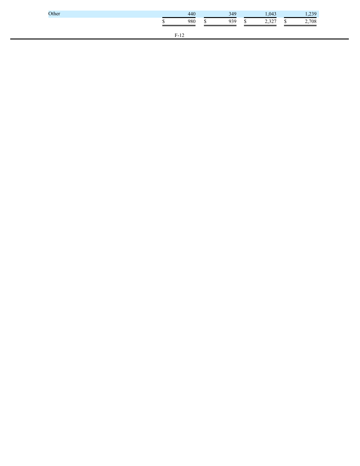| Other | 440                    | 349 | 1,043 | 1,239 |
|-------|------------------------|-----|-------|-------|
|       | 980                    | 939 | 2,327 | 2,708 |
|       | 1 <sup>2</sup><br>™-I∠ |     |       |       |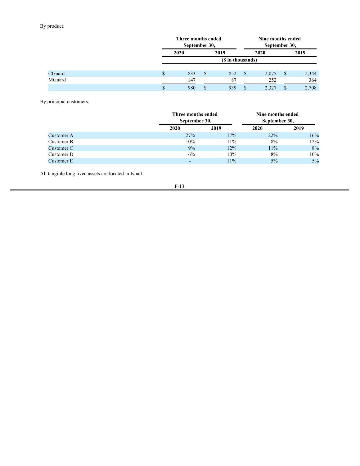|        | Three months ended<br>September 30, |                   | Nine months ended<br>September 30, |       |
|--------|-------------------------------------|-------------------|------------------------------------|-------|
|        | 2020                                | 2019              | 2020                               | 2019  |
|        |                                     | (\$ in thousands) |                                    |       |
| CGuard | 833                                 | 852               | 2,075                              | 2,344 |
| MGuard | 147                                 | 87                | 252                                | 364   |
|        | 980                                 | 939               | 2,327                              | 2,708 |

By principal customers:

|            | Three months ended<br>September 30, |      | Nine months ended<br>September 30, |      |  |  |
|------------|-------------------------------------|------|------------------------------------|------|--|--|
|            | 2020                                | 2019 | 2020                               | 2019 |  |  |
| Customer A | 27%                                 | 17%  | 22%                                | 16%  |  |  |
| Customer B | 10%                                 | 11%  | 8%                                 | 12%  |  |  |
| Customer C | 9%                                  | 12%  | 11%                                | 8%   |  |  |
| Customer D | 6%                                  | 10%  | 8%                                 | 10%  |  |  |
| Customer E | . .                                 | 11%  | 5%                                 | 5%   |  |  |

All tangible long lived assets are located in Israel.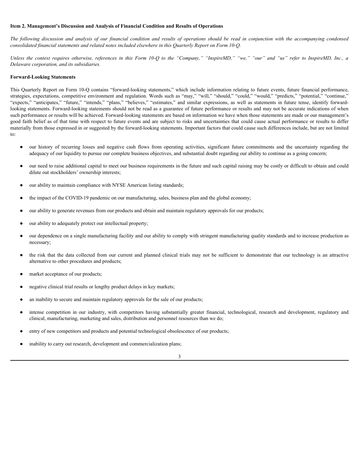## <span id="page-18-0"></span>**Item 2. Management's Discussion and Analysis of Financial Condition and Results of Operations**

*consolidated financial statements and related notes included elsewhere in this Quarterly Report on Form 10-Q.*

**The following discussion and analysis of Financial Condition and Results of Operations**<br>*The following discussion and analysis of our financial condition and results of operations should be read in conjunction with the ac Delaware corporation, and its subsidiaries.*

## **Forward-Looking Statements**

**Item 2. Management's Discussion and Analysis of Financial Condition and Results of Operations**<br> *The following discussion and analysis of our financial condition and results of operations should be read in conjunction wit* This Quarterly Report on Form 10-Q contains "forward-looking statements," which include information relating to future events, future financial performance, strategies, expectations, competitive environment and regulation. Words such as "may," "will," "should," "could," "would," "predicts," "potential," "continue," Them 2. Management's Discussion and Analysis of Financial Condition and Results of Operations<br>
The following discussion and analysis of our financial condition and results of operations should be read in conjunction with t looking statements. Forward-looking statements should not be read as a guarantee of future performance or results and may not be accurate indications of when such performance or results will be achieved. Forward-looking statements are based on information we have when those statements are made or our management's good faith belief as of that time with respect to future events and are subject to risks and uncertainties that could cause actual performance or results to differ materially from those expressed in or suggested by the forward-looking statements. Important factors that could cause such differences include, but are not limited to: **2. Management's Discussion and Analysis of Financial Condition and Results of Operations**<br>
following discussion and analysis of our financial condition and results of operations should be read in conjunction with the acc Note exporation, ond its substitutents.<br>  $\alpha$ Plannel substitute on the data of from a collected in the mean of the simulation of the collected by the collected and the collected with the sole of the collected by the colle Finds belief as of that this eye of the competition of the competition in a rabical content and contentration that conditions in a radiat proformation of restricted in the standard product the competition stress contents

- adequacy of our liquidity to pursue our complete business objectives, and substantial doubt regarding our ability to continue as a going concern;
- our need to raise additional capital to meet our business requirements in the future and such capital raising may be costly or difficult to obtain and could dilute out stockholders' ownership interests;
- our ability to maintain compliance with NYSE American listing standards;
- the impact of the COVID-19 pandemic on our manufacturing, sales, business plan and the global economy;
- our ability to generate revenues from our products and obtain and maintain regulatory approvals for our products;
- our ability to adequately protect our intellectual property;
- our dependence on a single manufacturing facility and our ability to comply with stringent manufacturing quality standards and to increase production as necessary;
- alternative to other procedures and products;
- market acceptance of our products;
- negative clinical trial results or lengthy product delays in key markets;
- an inability to secure and maintain regulatory approvals for the sale of our products;
- clinical, manufacturing, marketing and sales, distribution and personnel resources than we do;
- entry of new competitors and products and potential technological obsolescence of our products;
- inability to carry out research, development and commercialization plans;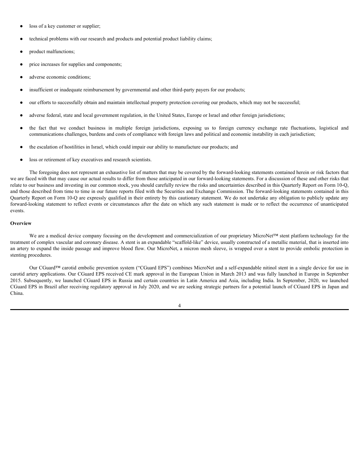- loss of a key customer or supplier;
- technical problems with our research and products and potential product liability claims;
- product malfunctions;
- price increases for supplies and components;
- adverse economic conditions;
- insufficient or inadequate reimbursement by governmental and other third-party payers for our products;
- our efforts to successfully obtain and maintain intellectual property protection covering our products, which may not be successful;
- adverse federal, state and local government regulation, in the United States, Europe or Israel and other foreign jurisdictions;
- loss of a key ousteoner or supplier,<br>
 trednical problems with our research and products and potential product liability claims;<br>
 price increases for supplies and components;<br>
 diverse economic conditions;<br>
 core communications challenges, burdens and costs of compliance with foreign laws and political and economic instability in each jurisdiction;
- the escalation of hostilities in Israel, which could impair our ability to manufacture our products; and
- loss or retirement of key executives and research scientists.

The foregoing does not represent an exhaustive list of matters that may be covered by the forward-looking statements contained herein or risk factors that we are faced with that may cause our actual results to differ from those anticipated in our forward-looking statements. For a discussion of these and other risks that relate to our business and investing in our common stock, you should carefully review the risks and uncertainties described in this Quarterly Report on Form 10-Q, and those described from time to time in our future reports filed with the Securities and Exchange Commission. The forward-looking statements contained in this Quarterly Report on Form 10-Q are expressly qualified in their entirety by this cautionary statement. We do not undertake any obligation to publicly update any For each of a key customer or supplier.<br>
For the transmission of supplies and constraints,<br>
For price measures for supplies and components,<br>
Forward-looking statement is any such an any such any such any such any such as events. 2015.<br>
2015. Contribute to accossibility obtain and maintain intellectual property precedient covering our products, which may not be necessitaly.<br>
2016. The main and head proventional intellectual property precedient cov

#### **Overview Overview** *Overview*

We are a medical device company focusing on the development and commercialization of our proprietary MicroNet™ stent platform technology for the treatment of complex vascular and coronary disease. A stent is an expandable "scaffold-like" device, usually constructed of a metallic material, that is inserted into an artery to expand the inside passage and improve blood flow. Our MicroNet, a micron mesh sleeve, is wrapped over a stent to provide embolic protection in stenting procedures.

Our CGuard™ carotid embolic prevention system ("CGuard EPS") combines MicroNet and a self-expandable nitinol stent in a single device for use in carotid artery applications. Our CGuard EPS received CE mark approval in the European Union in March 2013 and was fully launched in Europe in September 2015. Subsequently, we launched CGuard EPS in Russia and certain count CGuard EPS in Brazil after receiving regulatory approval in July 2020, and we are seeking strategic partners for a potential launch of CGuard EPS in Japan and China.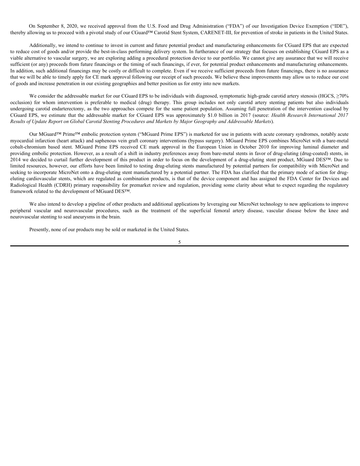On September 8, 2020, we received approval from the U.S. Food and Drug Administration ("FDA") of our Investigation Device Exemption ("IDE"), thereby allowing us to proceed with a pivotal study of our CGuard™ Carotid Stent System, CARENET-III, for prevention of stroke in patients in the United States.

Additionally, we intend to continue to invest in current and future potential product and manufacturing enhancements for CGuard EPS that are expected to reduce cost of goods and/or provide the best-in-class performing delivery system. In furtherance of our strategy that focuses on establishing CGuard EPS as a viable alternative to vascular surgery, we are exploring adding a procedural protection device to our portfolio. We cannot give any assurance that we will receive sufficient (or any) proceeds from future financings or the timing of such financings, if ever, for potential product enhancements and manufacturing enhancements. In addition, such additional financings may be costly or difficult to complete. Even if we receive sufficient proceeds from future financings, there is no assurance that we will be able to timely apply for CE mark approval following our receipt of such proceeds. We believe these improvements may allow us to reduce our cost of goods and increase penetration in our existing geographies and better position us for entry into new markets. On September 8, 2020, we received approval from the U.S. Food and Drug Administration ("FDA") of our Investigation Device Exemption ("IDE"),<br>thereby allowing us to proceed with a pivotal study of our CGuard<sup>TM</sup> Carolid St On September 8, 2020, we received approval from the U.S. Food and Drug Administration ("FDA") of our Investigation Device Exemption ("IDE"),<br>thereby allowing us to proceed with a pivotal study of our CGuard<sup>258</sup> Carotid S On September 8, 2020, we received approval from the U.S. Food and Drug Administration ("FDA") of our Investigation Device Exemption ("IDE"),<br>thereby allowing us to proceed with a pivotal study of our CGuard<sup>754</sup> Carolid S

We consider the addressable market for our CGuard EPS to be individuals with diagnosed, symptomatic high-grade carotid artery stenosis (HGCS, ≥70%) *Results of Update Report on Global Carotid Stenting Procedures and Markets by Major Geography and Addressable Markets*).

Our MGuard™ Prime™ embolic protection system ("MGuard Prime EPS") is marketed for use in patients with acute coronary syndromes, notably acute myocardial infarction (heart attack) and saphenous vein graft coronary interventions (bypass surgery). MGuard Prime EPS combines MicroNet with a bare-metal On September 8, 2020, we received approval from the U.S. Food and Drug Administration ("FDA") of our Investigation Device Exemption ("DE"),<br>thereby allowing us to proceed with a pivotial state) of our CGaraf<sup>on</sup> Carolich providing embolic protection. However, as a result of a shift in industry preferences away from bare-metal stents in favor of drug-eluting (drug-coated) stents, in 2014 we decided to curtail further development of this product in order to focus on the development of a drug-eluting stent product, MGuard DES™. Due to limited resources, however, our efforts have been limited to testing drug-eluting stents manufactured by potential partners for compatibility with MicroNet and seeking to incorporate MicroNet onto a drug-eluting stent manufactured by a potential partner. The FDA has clarified that the primary mode of action for drugeluting cardiovascular stents, which are regulated as combination products, is that of the device component and has assigned the FDA Center for Devices and Radiological Health (CDRH) primary responsibility for premarket review and regulation, providing some clarity about what to expect regarding the regulatory framework related to the development of MGuard DES™. On September 8, 2020, we received approval from the 15. Food and Drag Administration ("FDA") of our horestigned variable properties. Contained Some System C-RECHIEFILI, for prevention of risols in particular disease of th

We also intend to develop a pipeline of other products and additional applications by leveraging our MicroNet technology to new applications to improve neurovascular stenting to seal aneurysms in the brain.

Presently, none of our products may be sold or marketed in the United States.

5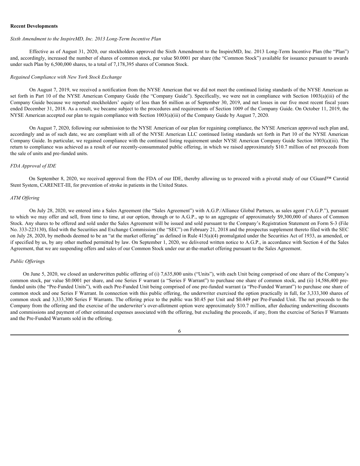#### **Recent Developments**

## *Sixth Amendment to the InspireMD, Inc. 2013 Long-Term Incentive Plan*

Effective as of August 31, 2020, our stockholders approved the Sixth Amendment to the InspireMD, Inc. 2013 Long-Term Incentive Plan (the "Plan") and, accordingly, increased the number of shares of common stock, par value \$0.0001 per share (the "Common Stock") available for issuance pursuant to awards under such Plan by 6,500,000 shares, to a total of 7,178,395 shares of Common Stock.

## *Regained Compliance with New York Stock Exchange*

On August 7, 2019, we received a notification from the NYSE American that we did not meet the continued listing standards of the NYSE American as set forth in Part 10 of the NYSE American Company Guide (the "Company Guide"). Specifically, we were not in compliance with Section 1003(a)(iii) of the Company Guide because we reported stockholders' equity of less than \$6 million as of September 30, 2019, and net losses in our five most recent fiscal years ended December 31, 2018. As a result, we became subject to the procedures and requirements of Section 1009 of the Company Guide. On October 11, 2019, the NYSE American accepted our plan to regain compliance with Section 1003(a)(iii) of the Company Guide by August 7, 2020.

On August 7, 2020, following our submission to the NYSE American of our plan for regaining compliance, the NYSE American approved such plan and, accordingly and as of such date, we are compliant with all of the NYSE American LLC continued listing standards set forth in Part 10 of the NYSE American Company Guide. In particular, we regained compliance with the continued listing requirement under NYSE American Company Guide Section 1003(a)(iii). The return to compliance was achieved as a result of our recently-consummated public offering, in which we raised approximately \$10.7 million of net proceeds from the sale of units and pre-funded units.

#### *FDA Approval of IDE*

On September 8, 2020, we received approval from the FDA of our IDE, thereby allowing us to proceed with a pivotal study of our CGuard™ Carotid Stent System, CARENET-III, for prevention of stroke in patients in the United States.

#### *ATM Offering*

On July 28, 2020, we entered into a Sales Agreement (the "Sales Agreement") with A.G.P./Alliance Global Partners, as sales agent ("A.G.P."), pursuant to which we may offer and sell, from time to time, at our option, through or to A.G.P., up to an aggregate of approximately \$9,300,000 of shares of Common Stock. Any shares to be offered and sold under the Sales Agreement will be issued and sold pursuant to the Company's Registration Statement on Form S-3 (File No. 333-223130), filed with the Securities and Exchange Commission (the "SEC") on February 21, 2018 and the prospectus supplement thereto filed with the SEC on July 28, 2020, by methods deemed to be an "at the market offering" as defined in Rule  $415(a)(4)$  promulgated under the Securities Act of 1933, as amended, or if specified by us, by any other method permitted by law. On September 1, 2020, we delivered written notice to A.G.P., in accordance with Section 4 of the Sales Agreement, that we are suspending offers and sales of our Common Stock under our at-the-market offering pursuant to the Sales Agreement.

## *Public Offering*s

On June 5, 2020, we closed an underwritten public offering of (i) 7,635,800 units ("Units"), with each Unit being comprised of one share of the Company's common stock, par value \$0.0001 per share, and one Series F warrant (a "Series F Warrant") to purchase one share of common stock, and (ii) 14,586,400 prefunded units (the "Pre-Funded Units"), with each Pre-Funded Unit being comprised of one pre-funded warrant (a "Pre-Funded Warrant") to purchase one share of common stock and one Series F Warrant. In connection with this public offering, the underwriter exercised the option practically in full, for 3,333,300 shares of common stock and 3,333,300 Series F Warrants. The offering price to the public was \$0.45 per Unit and \$0.449 per Pre-Funded Unit. The net proceeds to the Company from the offering and the exercise of the underwriter's over-allotment option were approximately \$10.7 million, after deducting underwriting discounts and commissions and payment of other estimated expenses associated with the offering, but excluding the proceeds, if any, from the exercise of Series F Warrants and the Pre-Funded Warrants sold in the offering.

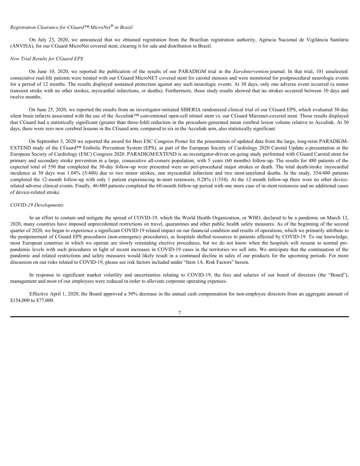## *Registration Clearance for CGuard™ MicroNet® in Brazil*

(ANVISA), for our CGuard MicroNet covered stent, clearing it for sale and distribution in Brazil.

## *New Trial Results for CGuard EPS*

on Clearance for CGuard<sup>TM</sup> MicroNet<sup>®</sup> in Brazil<br>On July 23, 2020, we announced that we obtained registration from the Brazilian registration authority, Agéncia Nacional de Vigiláncia Sanitária<br>1), for our CGuard MicroNet ion Clearance for CGuard<sup>TM</sup> MicroNet<sup>®</sup> in Brazil<br>On July 23, 2020, we announced that we obtained registration from the Brazilian registration authority, Agéncia Nacional de Vigiláncia Sanitária<br>A), for our CGuard EPS<br>A) consecutive real-life patients were treated with our CGuard MicroNET covered stent for carotid stenosis and were monitored for postprocedural neurologic events for a period of 12 months. The results displayed sustained protection against any such neurologic events. At 30 days, only one adverse event occurred (a minor transient stroke with no other strokes, myocardial infarctions, or deaths). Furthermore, those study results showed that no strokes occurred between 30 days and twelve months.

On June 25, 2020, we reported the results from an investigator-initiated SIBERIA randomized clinical trial of our CGuard EPS, which evaluated 30-day silent brain infarcts associated with the use of the Acculink™ conventional open-cell nitinol stent vs. our CGuard Micronet-covered stent. Those results displayed that CGuard had a statistically significant (greater than three-fold) reduction in the procedure-generated mean cerebral lesion volume relative to Acculink. At 30 days, there were zero new cerebral lessons in the CGuard arm, compared to six in the Acculink arm, also statistically significant.

On September 3, 2020 we reported the award for Best ESC Congress Poster for the presentation of updated data from the large, long-term PARADIGM-EXTEND study of the CGuard™ Embolic Prevention System (EPS), as part of the European Society of Cardiology 2020 Carotid Update e-presentation at the European Society of Cardiology (ESC) Congress 2020. PARADIGM/EXTEND is an investigator-driven on-going study performed with CGuard Carotid stent for primary and secondary stroke prevention in a large, consecutive all-comers population, with 5 years (60 months) follow-up. The results for 480 patients of the Registration Charance for Couard<sup>194</sup> MicroNe<sup>48</sup> to Renail<br>
On July 25, 2020, we amnumed that we obtained registration from the Brazilian registration authority, Agéncia Nacional de Vigiláncia Sanitiria<br>
(ANVISA), for ou Regulated on Clearence for Clearen<sup>174</sup> MeroNe<sup>20</sup> in Bossil<br>
On Jaly 23, 2020, we are<br>
(ANVISA), for our Gourd MicroSott covered stent, cheating it for side and distribution in Brazil.<br>
(ANVISA), for our Coural MicroSott completed the 12-month follow-up with only 1 patient experiencing in-stent restenosis, 0.28% (1/354). At the 12-month follow-up there were no other devicerelated adverse clinical events. Finally, 46/480 patients completed the 60-month follow-up period with one more case of in-stent restenosis and no additional cases of device-related stroke. Net *Trai Resshs for CGuord EPS*<br>On law 10, 2020, we reported the publication of the results of our PARADIGM tail in the Eurodocevarian joundal in the case of the results of the results of the results of the results of th On Jue 10, 2020, we reported the publication of the restats of our PARADICM trial in the *Envolverences* for the ratio fit is formed resulted for the continue relations of the restricted in the formed restrictions of the In of 12 months. The results displayed antistical practicular against my achievated interest over it. 8 20 does above a courter of a minor state of the feed of the feed of the significant behavior interest of the feed of

#### *COVID-19 Developments*

In an effort to contain and mitigate the spread of COVID-19, which the World Health Organization, or WHO, declared to be a pandemic on March 12, 2020, many countries have imposed unprecedented restrictions on travel, quarantines and other public health safety measures. As of the beginning of the second quarter of 2020, we began to experience a significant COVID-19 related impact on our financial condition and results of operations, which we primarily attribute to the postponement of CGuard EPS procedures (non-emergency procedures), as hospitals shifted resources to patients affected by COVID-19. To our knowledge, pandemic levels with such procedures in light of recent increases in COVID-19 cases in the territories we sell into. We anticipate that the continuation of the discussion on our risks related to COVID-19, please see risk factors included under "Item 1A. Risk Factors" herein.

management and most of our employees were reduced in order to alleviate corporate operating expenses.

Effective April 1, 2020, the Board approved a 50% decrease in the annual cash compensation for non-employee directors from an aggregate amount of \$154,000 to \$77,000.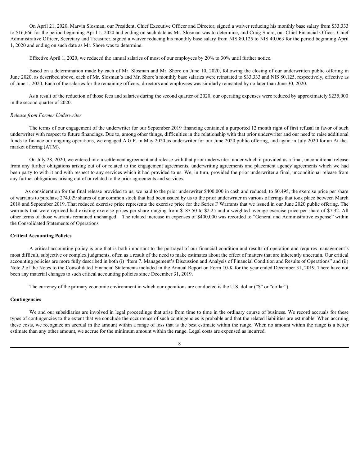On April 21, 2020, Marvin Slosman, our President, Chief Executive Officer and Director, signed a waiver reducing his monthly base salary from \$33,333 to \$16,666 for the period beginning April 1, 2020 and ending on such date as Mr. Slosman was to determine, and Craig Shore, our Chief Financial Officer, Chief Administrative Officer, Secretary and Treasurer, signed a waiver reducing his monthly base salary from NIS 80,125 to NIS 40,063 for the period beginning April 1, 2020 and ending on such date as Mr. Shore was to determine.

Effective April 1, 2020, we reduced the annual salaries of most of our employees by 20% to 30% until further notice.

Based on a determination made by each of Mr. Slosman and Mr. Shore on June 10, 2020, following the closing of our underwritten public offering in June 2020, as described above, each of Mr. Slosman's and Mr. Shore's monthly base salaries were reinstated to \$33,333 and NIS 80,125, respectively, effective as of June 1, 2020. Each of the salaries for the remaining officers, directors and employees was similarly reinstated by no later than June 30, 2020.

As a result of the reduction of those fees and salaries during the second quarter of 2020, our operating expenses were reduced by approximately \$235,000 in the second quarter of 2020.

#### *Release from Former Underwriter*

The terms of our engagement of the underwriter for our September 2019 financing contained a purported 12 month right of first refusal in favor of such underwriter with respect to future financings. Due to, among other things, difficulties in the relationship with that prior underwriter and our need to raise additional funds to finance our ongoing operations, we engaged A.G.P. in May 2020 as underwriter for our June 2020 public offering, and again in July 2020 for an At-themarket offering (ATM).

On July 28, 2020, we entered into a settlement agreement and release with that prior underwriter, under which it provided us a final, unconditional release from any further obligations arising out of or related to the engagement agreements, underwriting agreements and placement agency agreements which we had been party to with it and with respect to any services which it had provided to us. We, in turn, provided the prior underwriter a final, unconditional release from any further obligations arising out of or related to the prior agreements and services.

As consideration for the final release provided to us, we paid to the prior underwriter \$400,000 in cash and reduced, to \$0.495, the exercise price per share of warrants to purchase 274,029 shares of our common stock that had been issued by us to the prior underwriter in various offerings that took place between March 2018 and September 2019. That reduced exercise price represents the exercise price for the Series F Warrants that we issued in our June 2020 public offering. The warrants that were repriced had existing exercise prices per share ranging from \$187.50 to \$2.25 and a weighted average exercise price per share of \$7.32. All other terms of those warrants remained unchanged. The related increase in expenses of \$400,000 was recorded to "General and Administrative expense" within the Consolidated Statements of Operations

#### **Critical Accounting Policies**

A critical accounting policy is one that is both important to the portrayal of our financial condition and results of operation and requires management's most difficult, subjective or complex judgments, often as a result of the need to make estimates about the effect of matters that are inherently uncertain. Our critical accounting policies are more fully described in both (i) "Item 7. Management's Discussion and Analysis of Financial Condition and Results of Operations" and (ii) Note 2 of the Notes to the Consolidated Financial Statements included in the Annual Report on Form 10-K for the year ended December 31, 2019. There have not been any material changes to such critical accounting policies since December 31, 2019.

The currency of the primary economic environment in which our operations are conducted is the U.S. dollar ("\$" or "dollar").

#### **Contingencies**

We and our subsidiaries are involved in legal proceedings that arise from time to time in the ordinary course of business. We record accruals for these types of contingencies to the extent that we conclude the occurrence of such contingencies is probable and that the related liabilities are estimable. When accruing these costs, we recognize an accrual in the amount within a range of loss that is the best estimate within the range. When no amount within the range is a better estimate than any other amount, we accrue for the minimum amount within the range. Legal costs are expensed as incurred.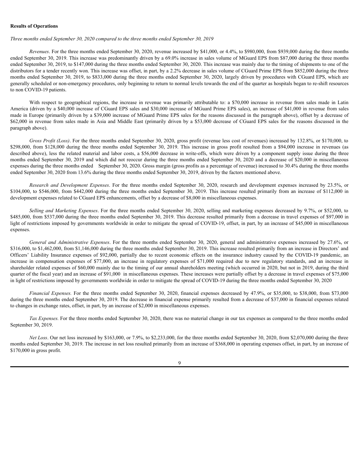#### **Results of Operations**

#### *Three months ended September 30, 2020 compared to the three months ended September 30, 2019*

*Revenues*. For the three months ended September 30, 2020, revenue increased by \$41,000, or 4.4%, to \$980,000, from \$939,000 during the three months ended September 30, 2019. This increase was predominantly driven by a 69.0% increase in sales volume of MGuard EPS from \$87,000 during the three months ended September 30, 2019, to \$147,000 during the three months ended September 30, 2020. This increase was mainly due to the timing of shipments to one of the distributors for a tender recently won. This increase was offset, in part, by a 2.2% decrease in sales volume of CGuard Prime EPS from \$852,000 during the three months ended September 30, 2019, to \$833,000 during the three months ended September 30, 2020, largely driven by procedures with CGuard EPS, which are generally scheduled or non-emergency procedures, only beginning to return to normal levels towards the end of the quarter as hospitals began to re-shift resources to non COVID-19 patients. **If Operations**<br> *Mevenues.* For the three months ended September 30, 2020, revenue increased by \$41,000, or 4.4%, to \$980,000, from \$939,000 during the three months<br>
plember 30, 2019. This increase was predominantly driv **Results of Operations**<br>
Three months ended September 30, 2020 compared to the three months ended September 30, 2020 in Sal 1000 or 4.4% to 5980.000. From 5939.000 during the three months<br>
ended September 30, 2019, to S i **Results of Operations**<br>
Three months ended September 30, 2020 conquened to the three months ended September 30, 2019<br>
Three months cended September 30, 2019, the three months cended September 30, 2019. In increase we man Results of Operations<br>
Three nonths ended September 30, 2020 compared to the three nonths ended September 30, 2019<br>
Reservence, for the line months ended September 30, 2020, revenue instructed by \$41,000, or 4.4%, to \$98, *R* Operations<br> *Research* 30 2020 compared to the three months ended September 30, 2019<br> *Research* and Development Payable and September 30, 2020, excess in the search and Novel DES from 857.000 distinguishes the three **Results of Operations**<br> **Three anotherador** Squamber 30, 2020 composed to the these months ended Squamber 30, 2019.<br> **If the since months unlesh Squamber 30, 2020**, commutating statistically \$42,000, or 4.8%, in SNR()(00 *General and the considerables Samparks 30, 2020*, (considerables  $\mu$  4.45%, as 58%,0000, doing the three months and September 30, 2020, and 4 4%, as 58%,0000, during the three months presents and 30% (30%) and 30% (30%)

America (driven by a \$40,000 increase of CGuard EPS sales and \$30,000 increase of MGuard Prime EPS sales), an increase of \$41,000 in revenue from sales made in Europe (primarily driven by a \$39,000 increase of MGuard Prime EPS sales for the reasons discussed in the paragraph above), offset by a decrease of paragraph above).

*Gross Profit (Loss)*. For the three months ended September 30, 2020, gross profit (revenue less cost of revenues) increased by 132.8%, or \$170,000, to months ended September 30, 2019 and which did not reoccur during the three months ended September 30, 2020 and a decrease of \$20,000 in miscellaneous expenses during the three months ended September 30, 2020. Gross margin (gross profits as a percentage of revenue) increased to 30.4% during the three months ended September 30, 2020 from 13.6% during the three months ended September 30, 2019, driven by the factors mentioned above.

development expenses related to CGuard EPS enhancements, offset by a decrease of \$8,000 in miscellaneous expenses.

*Selling and Marketing Expenses*. For the three months ended September 30, 2020, selling and marketing expenses decreased by 9.7%, or \$52,000, to \$485,000, from \$537,000 during the three months ended September 30, 2019. This decrease resulted primarily from a decrease in travel expenses of \$97,000 in light of restrictions imposed by governments worldwide in order to mitigate the spread of COVID-19, offset, in part, by an increase of \$45,000 in miscellaneous expenses.

\$316,000, to \$1,462,000, from \$1,146,000 during the three months ended September 30, 2019. This increase resulted primarily from an increase in Directors' and orieds Spinners 20, 2003 (not) and the total map the best means who could be recent to 2002 (not be insure to Fice the COVID-19 minimals could Spyralistic and Spinning to the insurance to the insurance of Could Prime EPS f development operation with the median and the season of the season increase in the value of the season increase in the season increase in the season increase that the season increase the season increase the season increase shareholder related expenses of \$60,000 mainly due to the timing of our annual shareholders meeting (which occurred in 2020, but not in 2019, during the third quarter of the fiscal year) and an increase of \$91,000 in miscellaneous expenses. These increases were partially offset by a decrease in travel expenses of \$75,000 in light of restrictions imposed by governments worldwide in order to mitigate the spread of COVID-19 during the three months ended September 30, 2020 What respect to googlephical regions the increase in recessue was plenarily attributed to a 357,000 lineters in recesse of No.100 lineters in the most match in Let the three months ended by 153,000, increase of No.100 li

during the three months ended September 30, 2019. The decrease in financial expense primarily resulted from a decrease of \$37,000 in financial expenses related to changes in exchange rates, offset, in part, by an increase of \$2,000 in miscellaneous expenses.

*Tax Expenses.* For the three months ended September 30, 2020, there was no material change in our tax expenses as compared to the three months ended September 30, 2019.

*Net Loss*. Our net loss increased by \$163,000, or 7.9%, to \$2,233,000, for the three months ended September 30, 2020, from \$2,070,000 during the three months ended September 30, 2019. The increase in net loss resulted primarily from an increase of \$368,000 in operating expenses offset, in part, by an increase of \$170,000 in gross profit.

9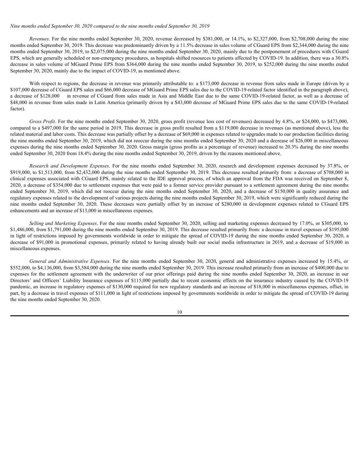#### *Nine months ended September 30, 2020 compared to the nine months ended September 30, 2019*

*Revenues*. For the nine months ended September 30, 2020, revenue decreased by \$381,000, or 14.1%, to \$2,327,000, from \$2,708,000 during the nine months ended September 30, 2019. This decrease was predominantly driven by a 11.5% decrease in sales volume of CGuard EPS from \$2,344,000 during the nine months ended September 30, 2019, to \$2,075,000 during the nine months ended September 30, 2020, mainly due to the postponement of procedures with CGuard EPS, which are generally scheduled or non-emergency procedures, as hospitals shifted resources to patients affected by COVID-19. In addition, there was a 30.8% decrease in sales volume of MGuard Prime EPS from \$364,000 during the nine months ended September 30, 2019, to \$252,000 during the nine months ended September 30, 2020, mainly due to the impact of COVID-19, as mentioned above.

With respect to regions, the decrease in revenue was primarily attributable to: a \$173,000 decrease in revenue from sales made in Europe (driven by a \$107,000 decrease of CGuard EPS sales and \$66,000 decrease of MGuard Prime EPS sales due to the COVID-19-related factor identified in the paragraph above), a decrease of \$128,000 in revenue of CGuard from sales made in Asia and Middle East due to the same COVID-19-related factor, as well as a decrease of \$48,000 in revenue from sales made in Latin America (primarily driven by a \$43,000 decrease of MGuard Prime EPS sales due to the same COVID-19-related factor).

*Gross Profit*. For the nine months ended September 30, 2020, gross profit (revenue less cost of revenues) decreased by 4.8%, or \$24,000, to \$473,000, compared to a \$497,000 for the same period in 2019. This decrease in gross profit resulted from a \$119,000 decrease in revenues (as mentioned above), less the related material and labor costs. This decrease was partially offset by a decrease of \$69,000 in expenses related to upgrades made to our production facilities during the nine months ended September 30, 2019, which did not reoccur during the nine months ended September 30, 2020 and a decrease of \$26,000 in miscellaneous expenses during the nine months ended September 30, 2020. Gross margin (gross profits as a percentage of revenue) increased to 20.3% during the nine months ended September 30, 2020 from 18.4% during the nine months ended September 30, 2019, driven by the reasons mentioned above.

*Research September 30, 2020 compared to the nine months ended September 30, 2029*<br>*Research September 30, 2020 compared to the nine months ended September 30, 2020, or 14.1%, to \$2,2327,000, from \$2,708,000 during the nin* \$919,000, to \$1,513,000, from \$2,432,000 during the nine months ended September 30, 2019. This decrease resulted primarily from: a decrease of \$708,000 in clinical expenses associated with CGuard EPS, mainly related to the IDE approval process, of which an approval from the FDA was received on September 8, 2020, a decrease of \$354,000 due to settlement expenses that were paid to a former service provider pursuant to a settlement agreement during the nine months Noe month ended September 30, 2020 componed to the nue months ended September 30, 2020, the context of  $\sim$  3181, 000, or 14.1%, to \$2,22,000, from \$2,78,000 during the time<br>months caled September 30, 2020, 2020, and a de regulatory expenses related to the development of various projects during the nine months ended September 30, 2019, which were significantly reduced during the Nine months ended September 30, 2020 compared to die nine months ended September 30, 2020. (000) a fit 45, to \$232,7000. from \$2,7000 for this absolute and September 30, 2020. Fit is absolute and September 30, 2020. This enhancements and an increase of \$13,000 in miscellaneous expenses. noonlo collected Special Solid Special Solid Special Solid Special Solid Special Solid Special Solid Special Special Systems (1988). All special solid Special Systems in the social Systems in the social Systems in the syst T30, 2020, mainly due to the impact of COVID-19 an method above.<br>
With respect to regions, the decrease in process or formally antibide by a 5373,000 decrease in recent form also made in Europe (diversi by a Wale material With respect to registe the forest agreement to the settlement with the settlement in spectras in agreement for the settlement for the settlement for an intervent in the set of the settlement for the settlement of the set

*Selling and Marketing Expenses*. For the nine months ended September 30, 2020, selling and marketing expenses decreased by 17.0%, or \$305,000, to \$1,486,000, from \$1,791,000 during the nine months ended September 30, 2019. This decrease resulted primarily from: a decrease in travel expenses of \$195,000 in light of restrictions imposed by governments worldwide in order to mitigate the spread of COVID-19 during the nine months ended September 30, 2020, a miscellaneous expenses.

\$552,000, to \$4,136,000, from \$3,584,000 during the nine months ended September 30, 2019. This increase resulted primarily from an increase of \$400,000 due to Directors' and Officers' Liability Insurance expenses of \$115,000 partially due to recent economic effects on the insurance industry caused by the COVID-19 pandemic, an increase in regulatory expenses of \$130,000 required for new regulatory standards and an increase of \$18,000 in miscellaneous expenses, offset, in part, by a decrease in travel expenses of \$111,000 in light of restrictions imposed by governments worldwide in order to mitigate the spread of COVID-19 during the nine months ended September 30, 2020.

10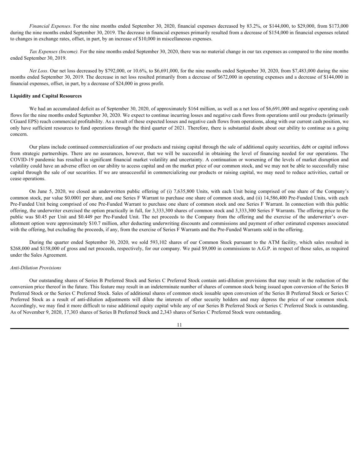*Financial Expenses*. For the nine months ended September 30, 2020, financial expenses decreased by 83.2%, or \$144,000, to \$29,000, from \$173,000 during the nine months ended September 30, 2019. The decrease in financial expenses primarily resulted from a decrease of \$154,000 in financial expenses related to changes in exchange rates, offset, in part, by an increase of \$10,000 in miscellaneous expenses.

*Tax Expenses (Income).* For the nine months ended September 30, 2020, there was no material change in our tax expenses as compared to the nine months ended September 30, 2019.

*Net Loss*. Our net loss decreased by \$792,000, or 10.6%, to \$6,691,000, for the nine months ended September 30, 2020, from \$7,483,000 during the nine months ended September 30, 2019. The decrease in net loss resulted primarily from a decrease of \$672,000 in operating expenses and a decrease of \$144,000 in financial expenses, offset, in part, by a decrease of \$24,000 in gross profit.

## **Liquidity and Capital Resources**

We had an accumulated deficit as of September 30, 2020, of approximately \$164 million, as well as a net loss of \$6,691,000 and negative operating cash flows for the nine months ended September 30, 2020. We expect to continue incurring losses and negative cash flows from operations until our products (primarily CGuard EPS) reach commercial profitability. As a result of these expected losses and negative cash flows from operations, along with our current cash position, we only have sufficient resources to fund operations through the third quarter of 2021. Therefore, there is substantial doubt about our ability to continue as a going concern.

Our plans include continued commercialization of our products and raising capital through the sale of additional equity securities, debt or capital inflows *Fromcal Expenses.* For the nine months ended September 30, 2020, financial expenses partnership at the materior solution of the materior of the successful form and expenses partnerships encoded to the are no months we co COVID-19 pandemic has resulted in significant financial market volatility and uncertainty. A continuation or worsening of the levels of market disruption and volatility could have an adverse effect on our ability to access capital and on the market price of our common stock, and we may not be able to successfully raise capital through the sale of our securities. If we are unsuccessful in commercializing our products or raising capital, we may need to reduce activities, curtail or cease operations.

*Froncoid Expenses.* For the nine months ended September 30, 2020, financial expenses decreased by 83.2%, or S14.000, to 529.000, from \$173,000 nine months ended experime 30, 2019. The docesses of financial expenses relat common stock, par value \$0.0001 per share, and one Series F Warrant to purchase one share of common stock, and (ii) 14,586,400 Pre-Funded Units, with each Pre-Funded Unit being comprised of one Pre-Funded Warrant to purchase one share of common stock and one Series F Warrant. In connection with this public offering, the underwriter exercised the option practically in full, for 3,333,300 shares of common stock and 3,333,300 Series F Warrants. The offering price to the blue and the present For 5 on this condition of Specific 30.429. The decrease in from calculate and exponent when the system of 5.512,000 has 17:0, and the system of the system of the system of the system of the system of allotment option were approximately \$10.7 million, after deducting underwriting discounts and commissions and payment of other estimated expenses associated with the offering, but excluding the proceeds, if any, from the exercise of Series F Warrants and the Pre-Funded Warrants sold in the offering. The Logenst (notes (he called spin the state spin of the 1322), there was no material change in our ax expresse as compared to the nine modis<br>Net Lose. Our net lose decreased by \$792,000, or 10.6%, to 36,691,000, for the We had a resumed of detailed as the preferred with a result of a result of a result of a result of a result of a result of a result of a result of a result of a result of anti-dilution and the preferred of the security COM

\$268,000 and \$158,000 of gross and net proceeds, respectively, for our company. We paid \$9,000 in commissions to A.G.P. in respect of those sales, as required under the Sales Agreement.

#### *Anti-Dilution Provisions*

Our outstanding shares of Series B Preferred Stock and Series C Preferred Stock contain anti-dilution provisions that may result in the reduction of the conversion price thereof in the future. This feature may result in an indeterminate number of shares of common stock being issued upon conversion of the Series B Preferred Stock or the Series C Preferred Stock. Sales of additional shares of common stock issuable upon conversion of the Series B Preferred Stock or Series C Accordingly, we may find it more difficult to raise additional equity capital while any of our Series B Preferred Stock or Series C Preferred Stock is outstanding. As of November 9, 2020, 17,303 shares of Series B Preferred Stock and 2,343 shares of Series C Preferred Stock were outstanding.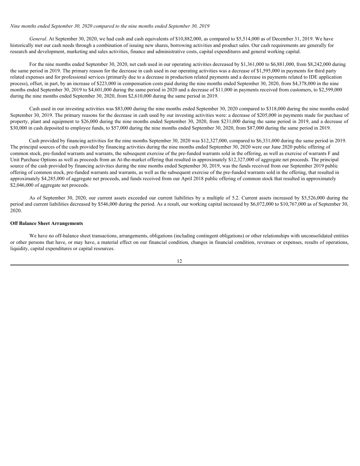#### *Nine months ended September 30, 2020 compared to the nine months ended September 30, 2019*

*General*. At September 30, 2020, we had cash and cash equivalents of \$10,882,000, as compared to \$5,514,000 as of December 31, 2019. We have historically met our cash needs through a combination of issuing new shares, borrowing activities and product sales. Our cash requirements are generally for research and development, marketing and sales activities, finance and administrative costs, capital expenditures and general working capital.

For the nine months ended September 30, 2020, net cash used in our operating activities decreased by \$1,361,000 to \$6,881,000, from \$8,242,000 during the same period in 2019. The primary reason for the decrease in cash used in our operating activities was a decrease of \$1,595,000 in payments for third party related expenses and for professional services (primarily due to a decrease in production related payments and a decrease in payments related to IDE application process), offset, in part, by an increase of \$223,000 in compensation costs paid during the nine months ended September 30, 2020, from \$4,378,000 in the nine months ended September 30, 2019 to \$4,601,000 during the same period in 2020 and a decrease of \$11,000 in payments received from customers, to \$2,599,000 during the nine months ended September 30, 2020, from \$2,610,000 during the same period in 2019.

Cash used in our investing activities was \$83,000 during the nine months ended September 30, 2020 compared to \$318,000 during the nine months ended September 30, 2019. The primary reasons for the decrease in cash used by our investing activities were: a decrease of \$205,000 in payments made for purchase of property, plant and equipment to \$26,000 during the nine months ended September 30, 2020, from \$231,000 during the same period in 2019, and a decrease of \$30,000 in cash deposited to employee funds, to \$57,000 during the nine months ended September 30, 2020, from \$87,000 during the same period in 2019.

Cash provided by financing activities for the nine months September 30, 2020 was \$12,327,000, compared to \$6,331,000 during the same period in 2019. The principal sources of the cash provided by financing activities during the nine months ended September 30, 2020 were our June 2020 public offering of common stock, pre-funded warrants and warrants, the subsequent exercise of the pre-funded warrants sold in the offering, as well as exercise of warrants F and Unit Purchase Options as well as proceeds from an At-the-market offering that resulted in approximately \$12,327,000 of aggregate net proceeds. The principal source of the cash provided by financing activities during the nine months ended September 30, 2019, was the funds received from our September 2019 public offering of common stock, pre-funded warrants and warrants, as well as the subsequent exercise of the pre-funded warrants sold in the offering, that resulted in approximately \$4,285,000 of aggregate net proceeds, and funds received from our April 2018 public offering of common stock that resulted in approximately \$2,046,000 of aggregate net proceeds.

As of September 30, 2020, our current assets exceeded our current liabilities by a multiple of 5.2. Current assets increased by \$5,526,000 during the period and current liabilities decreased by \$546,000 during the period. As a result, our working capital increased by \$6,072,000 to \$10,767,000 as of September 30, 2020.

#### **Off Balance Sheet Arrangements**

We have no off-balance sheet transactions, arrangements, obligations (including contingent obligations) or other relationships with unconsolidated entities or other persons that have, or may have, a material effect on our financial condition, changes in financial condition, revenues or expenses, results of operations, liquidity, capital expenditures or capital resources.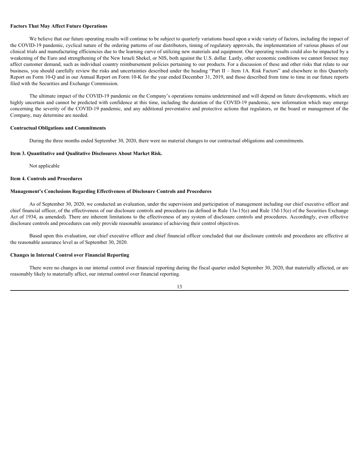#### **Factors That May Affect Future Operations**

We believe that our future operating results will continue to be subject to quarterly variations based upon a wide variety of factors, including the impact of the COVID-19 pandemic, cyclical nature of the ordering patterns of our distributors, timing of regulatory approvals, the implementation of various phases of our clinical trials and manufacturing efficiencies due to the learning curve of utilizing new materials and equipment. Our operating results could also be impacted by a weakening of the Euro and strengthening of the New Israeli Shekel, or NIS, both against the U.S. dollar. Lastly, other economic conditions we cannot foresee may affect customer demand, such as individual country reimbursement policies pertaining to our products. For a discussion of these and other risks that relate to our business, you should carefully review the risks and uncertainties described under the heading "Part II – Item 1A. Risk Factors" and elsewhere in this Quarterly Report on Form 10-Q and in our Annual Report on Form 10-K for the year ended December 31, 2019, and those described from time to time in our future reports filed with the Securities and Exchange Commission.

The ultimate impact of the COVID-19 pandemic on the Company's operations remains undetermined and will depend on future developments, which are highly uncertain and cannot be predicted with confidence at this time, including the duration of the COVID-19 pandemic, new information which may emerge concerning the severity of the COVID-19 pandemic, and any additional preventative and protective actions that regulators, or the board or management of the Company, may determine are needed.

#### **Contractual Obligations and Commitments**

During the three months ended September 30, 2020, there were no material changes to our contractual obligations and commitments.

#### <span id="page-28-0"></span>**Item 3. Quantitative and Qualitative Disclosures About Market Risk.**

Not applicable

## <span id="page-28-1"></span>**Item 4. Controls and Procedures**

## **Management's Conclusions Regarding Effectiveness of Disclosure Controls and Procedures**

As of September 30, 2020, we conducted an evaluation, under the supervision and participation of management including our chief executive officer and chief financial officer, of the effectiveness of our disclosure controls and procedures (as defined in Rule 13a-15(e) and Rule 15d-15(e) of the Securities Exchange Act of 1934, as amended). There are inherent limitations to the effectiveness of any system of disclosure controls and procedures. Accordingly, even effective disclosure controls and procedures can only provide reasonable assurance of achieving their control objectives.

Based upon this evaluation, our chief executive officer and chief financial officer concluded that our disclosure controls and procedures are effective at the reasonable assurance level as of September 30, 2020.

## **Changes in Internal Control over Financial Reporting**

There were no changes in our internal control over financial reporting during the fiscal quarter ended September 30, 2020, that materially affected, or are reasonably likely to materially affect, our internal control over financial reporting.

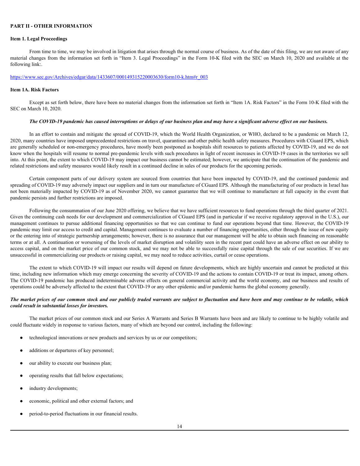## <span id="page-29-0"></span>**PART II - OTHER INFORMATION**

## <span id="page-29-1"></span>**Item 1. Legal Proceedings**

From time to time, we may be involved in litigation that arises through the normal course of business. As of the date of this filing, we are not aware of any **PARTII - OTHER INFORMATION**<br> **Item 1. Legal Proceedings**<br>
From time to time, we may be involved in litigation that arises through the normal course of business. As of the date of this filing, we are not aware of any<br>
mat following link:.

### https://www.sec.gov/Archives/edgar/data/1433607/000149315220003630/form10-k.htm#r\_003

#### <span id="page-29-2"></span>**Item 1A. Risk Factors**

Except as set forth below, there have been no material changes from the information set forth in "Item 1A. Risk Factors" in the Form 10-K filed with the SEC on March 10, 2020.

## *The COVID-19 pandemic has caused interruptions or delays of our business plan and may have a significant adverse effect on our business.*

In an effort to contain and mitigate the spread of COVID-19, which the World Health Organization, or WHO, declared to be a pandemic on March 12, 2020, many countries have imposed unprecedented restrictions on travel, quarantines and other public health safety measures. Procedures with CGuard EPS, which are generally scheduled or non-emergency procedures, have mostly been postponed as hospitals shift resources to patients affected by COVID-19, and we do not know when the hospitals will resume to normal pre-pandemic levels with such procedures in light of recent increases in COVID-19 cases in the territories we sell into. At this point, the extent to which COVID-19 may impact our business cannot be estimated; however, we anticipate that the continuation of the pandemic and related restrictions and safety measures would likely result in a continued decline in sales of our products for the upcoming periods.

Certain component parts of our delivery system are sourced from countries that have been impacted by COVID-19, and the continued pandemic and spreading of COVID-19 may adversely impact our suppliers and in turn our manufacture of CGuard EPS. Although the manufacturing of our products in Israel has not been materially impacted by COVID-19 as of November 2020, we cannot guarantee that we will continue to manufacture at full capacity in the event that pandemic persists and further restrictions are imposed.

Following the consummation of our June 2020 offering, we believe that we have sufficient resources to fund operations through the third quarter of 2021. Given the continuing cash needs for our development and commercialization of CGuard EPS (and in particular if we receive regulatory approval in the U.S.), our management continues to pursue additional financing opportunities so that we can continue to fund our operations beyond that time. However, the COVID-19 pandemic may limit our access to credit and capital. Management continues to evaluate a number of financing opportunities, either through the issue of new equity or the entering into of strategic partnership arrangements; however, there is no assurance that our management will be able to obtain such financing on reasonable terms or at all. A continuation or worsening of the levels of market disruption and volatility seen in the recent past could have an adverse effect on our ability to access capital, and on the market price of our common stock, and we may not be able to successfully raise capital through the sale of our securities. If we are unsuccessful in commercializing our products or raising capital, we may need to reduce activities, curtail or cease operations.

The extent to which COVID-19 will impact our results will depend on future developments, which are highly uncertain and cannot be predicted at this time, including new information which may emerge concerning the severity of COVID-19 and the actions to contain COVID-19 or treat its impact, among others. The COVID-19 pandemic has produced indeterminable adverse effects on general commercial activity and the world economy, and our business and results of operations could be adversely affected to the extent that COVID-19 or any other epidemic and/or pandemic harms the global economy generally.

## *The market prices of our common stock and our publicly traded warrants are subject to fluctuation and have been and may continue to be volatile, which could result in substantial losses for investors.*

The market prices of our common stock and our Series A Warrants and Series B Warrants have been and are likely to continue to be highly volatile and could fluctuate widely in response to various factors, many of which are beyond our control, including the following:

- technological innovations or new products and services by us or our competitors;
- additions or departures of key personnel;
- our ability to execute our business plan;
- operating results that fall below expectations;
- industry developments;
- economic, political and other external factors; and
- period-to-period fluctuations in our financial results.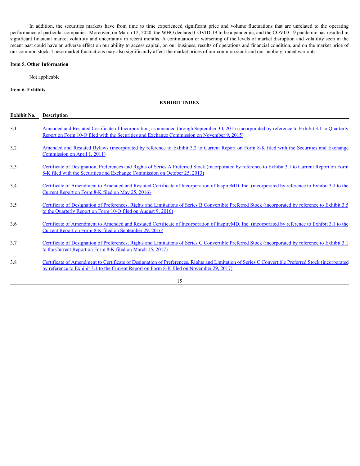In addition, the securities markets have from time to time experienced significant price and volume fluctuations that are unrelated to the operating need of particular companies. Moreover, on March 12, 2020, the WHO declar performance of particular companies. Moreover, on March 12, 2020, the WHO declared COVID-19 to be a pandemic, and the COVID-19 pandemic has resulted in significant financial market volatility and uncertainty in recent months. A continuation or worsening of the levels of market disruption and volatility seen in the recent past could have an adverse effect on our ability to access capital, on our business, results of operations and financial condition, and on the market price of our common stock. These market fluctuations may also significantly affect the market prices of our common stock and our publicly traded warrants.

## <span id="page-30-0"></span>**Item 5. Other Information**

Not applicable

## <span id="page-30-1"></span>**Item 6. Exhibits**

## **EXHIBIT INDEX**

| <b>Exhibit No.</b> | Description                                                                                                                                                                                                                                     |
|--------------------|-------------------------------------------------------------------------------------------------------------------------------------------------------------------------------------------------------------------------------------------------|
| 3.1                | Amended and Restated Certificate of Incorporation, as amended through September 30, 2015 (incorporated by reference to Exhibit 3.1 to Quarterly<br>Report on Form 10-Q filed with the Securities and Exchange Commission on November 9, 2015)   |
| 3.2                | Amended and Restated Bylaws (incorporated by reference to Exhibit 3.2 to Current Report on Form 8-K filed with the Securities and Exchange<br>Commission on April 1, 2011)                                                                      |
| 3.3                | Certificate of Designation, Preferences and Rights of Series A Preferred Stock (incorporated by reference to Exhibit 3.1 to Current Report on Form<br>8-K filed with the Securities and Exchange Commission on October 25, 2013)                |
| 3.4                | Certificate of Amendment to Amended and Restated Certificate of Incorporation of InspireMD, Inc. (incorporated by reference to Exhibit 3.1 to the<br>Current Report on Form 8-K filed on May 25, 2016)                                          |
| 3.5                | Certificate of Designation of Preferences, Rights and Limitations of Series B Convertible Preferred Stock (incorporated by reference to Exhibit 3.5<br>to the Quarterly Report on Form 10-Q filed on August 9, 2016)                            |
| 3.6                | Certificate of Amendment to Amended and Restated Certificate of Incorporation of InspireMD, Inc. (incorporated by reference to Exhibit 3.1 to the<br>Current Report on Form 8-K filed on September 29, 2016)                                    |
| 3.7                | Certificate of Designation of Preferences, Rights and Limitations of Series C Convertible Preferred Stock (incorporated by reference to Exhibit 3.1)<br>to the Current Report on Form 8-K filed on March 15, 2017)                              |
| 3.8                | Certificate of Amendment to Certificate of Designation of Preferences, Rights and Limitation of Series C Convertible Preferred Stock (incorporated<br>by reference to Exhibit 3.1 to the Current Report on Form 8-K filed on November 29, 2017) |
|                    | 15                                                                                                                                                                                                                                              |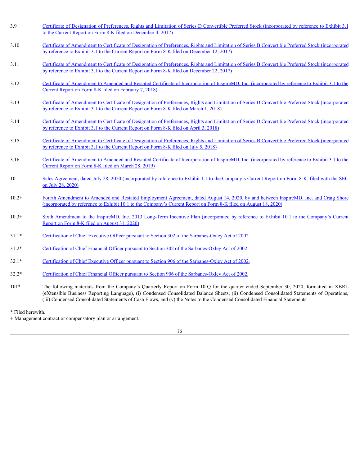| 3.9 | s. Rights and Limitation of Series D Convertible Preferred Stock (incorporated by reference to F<br>. Designation of Preferences.'<br>:xhibi |  |
|-----|----------------------------------------------------------------------------------------------------------------------------------------------|--|
|     | to the Current Report on Form 8-K filed on December 4, 2<br>-2017                                                                            |  |

- 3.10 [Certificate of Amendment to Certificate of Designation of Preferences, Rights and Limitation of Series B Convertible Preferred Stock \(incorporated](https://content.edgar-online.com/ExternalLink/EDGAR/0001493152-17-014515.html?hash=584e9cfb76a37c6f2cce013c9d3865f14a5ef4d0496a5b24354fd5359baa94ae&dest=EX3-1_HTM) [by reference to Exhibit 3.1 to the Current Report on Form 8-K filed on December 12, 2017\)](https://content.edgar-online.com/ExternalLink/EDGAR/0001493152-17-014515.html?hash=584e9cfb76a37c6f2cce013c9d3865f14a5ef4d0496a5b24354fd5359baa94ae&dest=EX3-1_HTM)
- 3.11 [Certificate of Amendment to Certificate of Designation of Preferences, Rights and Limitation of Series B Convertible Preferred Stock \(incorporated](https://content.edgar-online.com/ExternalLink/EDGAR/0001493152-17-015011.html?hash=330d9af5d4bd5b622f6927ad27ff9475ba855a6fe336f042e989940ee251fea3&dest=EX3-1_HTM) [by reference to Exhibit 3.1 to the Current Report on Form 8-K filed on December 22, 2017\)](https://content.edgar-online.com/ExternalLink/EDGAR/0001493152-17-015011.html?hash=330d9af5d4bd5b622f6927ad27ff9475ba855a6fe336f042e989940ee251fea3&dest=EX3-1_HTM)
- 3.12 [Certificate of Amendment to Amended and Restated Certificate of Incorporation of InspireMD, Inc. \(incorporated by reference to Exhibit 3.1 to the](https://content.edgar-online.com/ExternalLink/EDGAR/0001493152-18-001617.html?hash=25af1fa0d9800ea4cb8501b6f5c40f101fe7ff435e02df9c9c2709a75c8df150&dest=EX3-1_HTM) [Current Report on Form 8-K filed on February 7, 2018\)](https://content.edgar-online.com/ExternalLink/EDGAR/0001493152-18-001617.html?hash=25af1fa0d9800ea4cb8501b6f5c40f101fe7ff435e02df9c9c2709a75c8df150&dest=EX3-1_HTM)
- 3.13 Certificate of Amendment to Certificate of Designation of Preferences, Rights and Limitation of Series D Convertible Preferred Stock (incorporated by reference to Exhibit 3.1 to the Current Report on Form 8-K filed on March 1, 2018)
- 3.14 Certificate of Amendment to Certificate of Designation of Preferences, Rights and Limitation of Series D Convertible Preferred Stock (incorporated by reference to Exhibit 3.1 to the Current Report on Form 8-K filed on April 3, 2018)
- 3.15 Certificate of Amendment to Certificate of Designation of Preferences, Rights and Limitation of Series B Convertible Preferred Stock (incorporated by reference to Exhibit 3.1 to the Current Report on Form 8-K filed on July 5, 2018)
- 3.16 Certificate of Amendment to Amended and Restated Certificate of Incorporation of InspireMD, Inc. (incorporated by reference to Exhibit 3.1 to the Current Report on Form 8-K filed on March 28, 2019)
- 10.1 Sales Agreement, dated July 28, 2020 (incorporated by reference to Exhibit 1.1 to the Company's Current Report on Form 8-K, filed with the SEC on July 28, 2020)
- 10.2+ Fourth Amendment to Amended and Restated Employment Agreement, dated August 14, 2020, by and between InspireMD, Inc. and Craig Shore (incorporated by reference to Exhibit 10.1 to the Company's Current Report on Form 8-K filed on August 18, 2020)
- 10.3+ Sixth Amendment to the InspireMD, Inc. 2013 Long-Term Incentive Plan (incorporated by reference to Exhibit 10.1 to the Company's Current Report on Form 8-K filed on August 31, 2020)
- 31.1\* Certification of Chief Executive Officer pursuant to Section 302 of the Sarbanes-Oxley Act of 2002.
- 31.2\* Certification of Chief Financial Officer pursuant to Section 302 of the Sarbanes-Oxley Act of 2002.
- 32.1\* Certification of Chief Executive Officer pursuant to Section 906 of the Sarbanes-Oxley Act of 2002.
- 32.2\* Certification of Chief Financial Officer pursuant to Section 906 of the Sarbanes-Oxley Act of 2002.
- 10.19Continue of Amendment to Ceriffrance of Decisionion of Professions, Rights and Limitation of Scries D.Commuthic Professions Company (Company of the Company of the Company of Scries D.Commuthic Professions is Equal t (eXtensible Business Reporting Language), (i) Condensed Consolidated Balance Sheets, (ii) Condensed Consolidated Statements of Operations, (iii) Condensed Consolidated Statements of Cash Flows, and (v) the Notes to the Condensed Consolidated Financial Statements
- \* Filed herewith.

+ Management contract or compensatory plan or arrangement.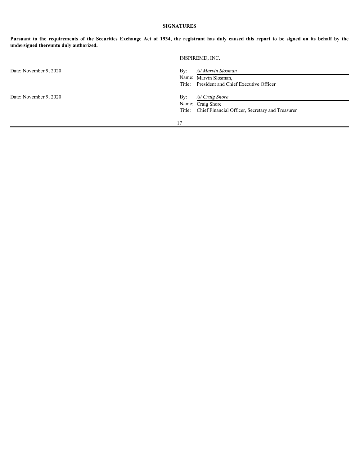## **SIGNATURES**

| <b>SIGNATURES</b><br>Pursuant to the requirements of the Securities Exchange Act of 1934, the registrant has duly caused this report to be signed on its behalf by the |                                                                                     |
|------------------------------------------------------------------------------------------------------------------------------------------------------------------------|-------------------------------------------------------------------------------------|
| undersigned thereunto duly authorized.                                                                                                                                 |                                                                                     |
|                                                                                                                                                                        | INSPIREMD, INC.                                                                     |
| Date: November 9, 2020                                                                                                                                                 | /s/ Marvin Slosman<br>By:<br>Name: Marvin Slosman,                                  |
| Date: November 9, 2020                                                                                                                                                 | President and Chief Executive Officer<br>Title:<br>/s/ Craig Shore                  |
|                                                                                                                                                                        | By:<br>Name: Craig Shore<br>Title: Chief Financial Officer, Secretary and Treasurer |
| 17                                                                                                                                                                     |                                                                                     |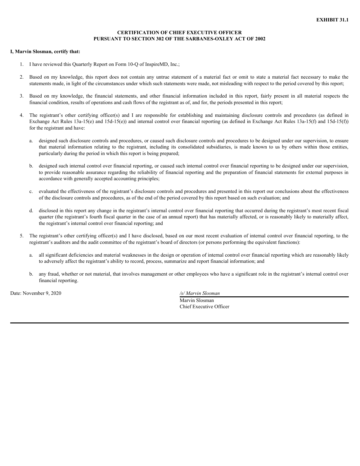## **CERTIFICATION OF CHIEF EXECUTIVE OFFICER PURSUANT TO SECTION 302 OF THE SARBANES-OXLEY ACT OF 2002**

## <span id="page-33-0"></span>**I, Marvin Slosman, certify that:**

- 1. I have reviewed this Quarterly Report on Form 10-Q of InspireMD, Inc.;
- statements made, in light of the circumstances under which such statements were made, not misleading with respect to the period covered by this report;
- financial condition, results of operations and cash flows of the registrant as of, and for, the periods presented in this report;
- EXHIBIT 31.1<br> **EXHIBIT 31.1**<br> **PURSUANT TO SECTION 302 OF THE SARBANES-OXLEY ACT OF 2002**<br> **Rave reviewed this Quarterly Report on Form 10-Q of InspireMD, Inc.;**<br>
2. Based on my knowledge, this report does not contain any EXHIBIT 31.1<br> **EXHIBIT 31.1**<br>
PURSUANT TO SECTION 302 OF THE SARBANES-OXLEY ACT OF 2002<br>
2. Based on my knowledge, this report do Form 10-Q of InspireMD, Inc.;<br>
2. Based on my knowledge, this report does not contain any un EXHIBIT 31.1<br> **EXHIBIT 31.1**<br> **EVIRSUANT TO SECTION 302 OF THE SARBANES-OXLEY ACT OF 2002**<br>
1. I have reviewed this Quaterly Report on Form 10-Q of InspireMD, Inc.;<br>
2. Hased on my knowledge, this report does not contain a Exchange Act Rules 13a-15(e) and 15d-15(e)) and internal control over financial reporting (as defined in Exchange Act Rules 13a-15(f) and 15d-15(f)) for the registrant and have: EXHIBIT 31.1<br> **EXHIBIT 31.1**<br> **EXHIBIT 31.1**<br> **EXHIBIT 31.1**<br> **EXHIBIT 31.1**<br> **EXHIBIT 31.1**<br> **EVALUANT TO SECTION 300 OF THE SARBANES-OXLEY ACT OF 2002**<br> **EVALUANT CONSUMPLE CONSUMPLE CONSUMPLE CONSUMPLE CONSUMPLE AND THE** 
	- a. designed such disclosure controls and procedures, or caused such disclosure controls and procedures to be designed under our supervision, to ensure particularly during the period in which this report is being prepared;
	- b. designed such internal control over financial reporting, or caused such internal control over financial reporting to be designed under our supervision, to provide reasonable assurance regarding the reliability of financial reporting and the preparation of financial statements for external purposes in accordance with generally accepted accounting principles;
	- c. evaluated the effectiveness of the registrant's disclosure controls and procedures and presented in this report our conclusions about the effectiveness of the disclosure controls and procedures, as of the end of the period covered by this report based on such evaluation; and
	- d. disclosed in this report any change in the registrant's internal control over financial reporting that occurred during the registrant's most recent fiscal quarter (the registrant's fourth fiscal quarter in the case of an annual report) that has materially affected, or is reasonably likely to materially affect, the registrant's internal control over financial reporting; and
- 5. The registrant's other certifying officer(s) and I have disclosed, based on our most recent evaluation of internal control over financial reporting, to the registrant's auditors and the audit committee of the registrant's board of directors (or persons performing the equivalent functions):
	- a. all significant deficiencies and material weaknesses in the design or operation of internal control over financial reporting which are reasonably likely to adversely affect the registrant's ability to record, process, summarize and report financial information; and
	- b. any fraud, whether or not material, that involves management or other employees who have a significant role in the registrant's internal control over financial reporting.

Date: November 9, 2020 */s/ Marvin Slosman*

Marvin Slosman Chief Executive Officer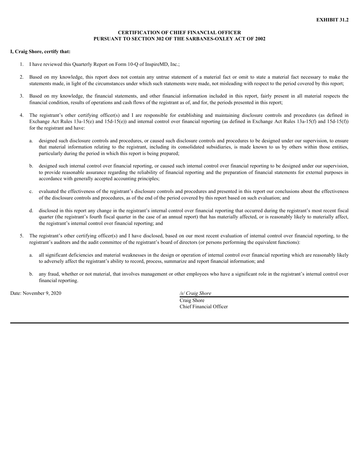## **CERTIFICATION OF CHIEF FINANCIAL OFFICER PURSUANT TO SECTION 302 OF THE SARBANES-OXLEY ACT OF 2002**

## <span id="page-34-0"></span>**I, Craig Shore, certify that:**

- 1. I have reviewed this Quarterly Report on Form 10-Q of InspireMD, Inc.;
- statements made, in light of the circumstances under which such statements were made, not misleading with respect to the period covered by this report;
- financial condition, results of operations and cash flows of the registrant as of, and for, the periods presented in this report;
- EXHIBIT 31.2<br> **EXHIBIT 31.2**<br> **PURSUANT TO SECTION 302 OF THE SARBANES-OXLEY ACT OF 2002**<br> **2.** Based on my knowledge, this report does not contain any untrue statement of a material fact or omit to state a material fact n **EXHIBICATION OF CHIEF FINANCIAL OFFICER**<br> **3. Based on my knowledge, this Quarterly Report on Form 10-Q of InspireMD, Inc.;**<br>
3. Based on my knowledge, this report does not contain any untrue statement of a material fact EXHIBIT 31.2<br>
PURSUANT TO SECTION 302 OF THE SARBANES-OXLEY ACT OF 2002<br>
1. I have reviewed this Quarterly Report on Form 10-Q of InspireMD, Inc.;<br>
2. Hased on my knowledge, this report does not contain any untrue statemen Exchange Act Rules 13a-15(e) and 15d-15(e)) and internal control over financial reporting (as defined in Exchange Act Rules 13a-15(f) and 15d-15(f)) for the registrant and have: EXHIBIT 31.2<br> **EXHIBIT 31.2**<br> **EXHIBIT 31.2**<br> **EXHIBIT 31.2**<br> **EXHIBIT 31.2**<br> **EXHIBIT 31.2**<br> **EVALUA TTO SECTION 300 OF THE SARBANES-OXLEY ACT OF 2002**<br> **EVALUA DEC**<br> **EVALUA CONSOLUTE CONSOLUTE CONSOLUTE AND THE SARBANES** 
	- a. designed such disclosure controls and procedures, or caused such disclosure controls and procedures to be designed under our supervision, to ensure particularly during the period in which this report is being prepared;
	- b. designed such internal control over financial reporting, or caused such internal control over financial reporting to be designed under our supervision, to provide reasonable assurance regarding the reliability of financial reporting and the preparation of financial statements for external purposes in accordance with generally accepted accounting principles;
	- c. evaluated the effectiveness of the registrant's disclosure controls and procedures and presented in this report our conclusions about the effectiveness of the disclosure controls and procedures, as of the end of the period covered by this report based on such evaluation; and
	- d. disclosed in this report any change in the registrant's internal control over financial reporting that occurred during the registrant's most recent fiscal quarter (the registrant's fourth fiscal quarter in the case of an annual report) that has materially affected, or is reasonably likely to materially affect, the registrant's internal control over financial reporting; and
- 5. The registrant's other certifying officer(s) and I have disclosed, based on our most recent evaluation of internal control over financial reporting, to the registrant's auditors and the audit committee of the registrant's board of directors (or persons performing the equivalent functions):
	- a. all significant deficiencies and material weaknesses in the design or operation of internal control over financial reporting which are reasonably likely to adversely affect the registrant's ability to record, process, summarize and report financial information; and
	- b. any fraud, whether or not material, that involves management or other employees who have a significant role in the registrant's internal control over financial reporting.

Date: November 9, 2020 */s/ Craig Shore*

Craig Shore Chief Financial Officer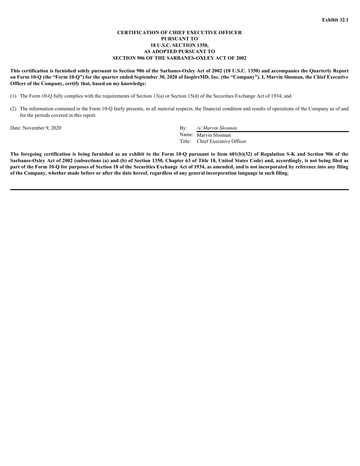## **CERTIFICATION OF CHIEF EXECUTIVE OFFICER PURSUANT TO 18 U.S.C. SECTION 1350, AS ADOPTED PURSUANT TO SECTION 906 OF THE SARBANES-OXLEY ACT OF 2002**

**This certification is furnished solely pursuant to Section 906 of the Sarbanes-Oxley Act of 2002 (18 U.S.C. 1350) and accompanies the Quarterly Report on Form 10-Q (the "Form 10-Q") for the quarter ended September 30, 2020 of InspireMD, Inc. (the "Company"). I, Marvin Slosman, the Chief Executive Officer of the Company, certify that, based on my knowledge:**

(1) The Form 10-Q fully complies with the requirements of Section 13(a) or Section 15(d) of the Securities Exchange Act of 1934; and

(2) The information contained in the Form 10-Q fairly presents, in all material respects, the financial condition and results of operations of the Company as of and for the periods covered in this report.

Date: November 9, 2020 By: */s/ Marvin Slosman* Name: Marvin Slosman

Title: Chief Executive Officer

<span id="page-35-0"></span>**THE FORE THE FORE CERTIFICATION OF CHIEF EXECUTIVE OFFICER**<br> **THE CERTIFICATION SECTION 350,**<br> **THE CERTIFICATION SECTION 350,**<br> **THE CERTIFICATION SECTION 360,**<br> **THE CERTIFICATION SECTION 360 OF THE SKENGT-SOLUT ACT OF Sarbanes-Oxley Act of 2002 (subsections (a) and (b) of Section 1350, Chapter 63 of Title 18, United States Code) and, accordingly, is not being filed as part of the Form 10-Q for purposes of Section 18 of the Securities Exchange Act of 1934, as amended, and is not incorporated by reference into any filing of the Company, whether made before or after the date hereof, regardless of any general incorporation language in such filing.**